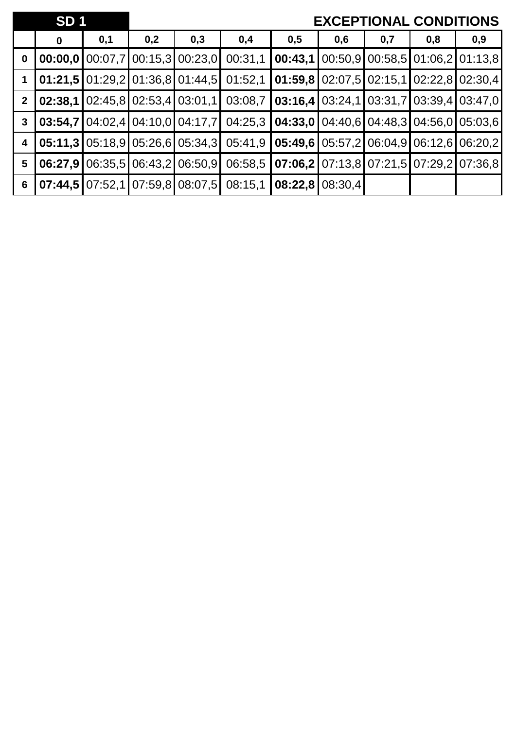|                         | <b>SD1</b>  |     |     |                                         |                                                                                                                 |                                  |     |     | <b>EXCEPTIONAL CONDITIONS</b>                  |     |
|-------------------------|-------------|-----|-----|-----------------------------------------|-----------------------------------------------------------------------------------------------------------------|----------------------------------|-----|-----|------------------------------------------------|-----|
|                         | $\mathbf 0$ | 0,1 | 0,2 | 0,3                                     | 0,4                                                                                                             | 0,5                              | 0,6 | 0,7 | 0,8                                            | 0,9 |
| $\mathbf 0$             |             |     |     | $00:00,0$   00:07,7   00:15,3   00:23,0 | 00:31,1                                                                                                         | 00:43,1                          |     |     | $00:50,9$ 00:58,5 01:06,2 01:13,8              |     |
|                         |             |     |     | $01:21,5$   01:29,2   01:36,8   01:44,5 | 01:52,1                                                                                                         |                                  |     |     | <b>01:59,8</b> 02:07,5 02:15,1 02:22,8 02:30,4 |     |
| 2 <sup>1</sup>          |             |     |     |                                         | <b>02:38,1</b>   02:45,8   02:53,4   03:01,1   03:08,7   <b>03:16,4</b>   03:24,1   03:31,7   03:39,4   03:47,0 |                                  |     |     |                                                |     |
| $\mathbf{3}$            | 03:54,7     |     |     |                                         | $04:02,4$ $04:10,0$ $04:17,7$ $04:25,3$ $04:33,0$ $04:40,6$ $04:48,3$ $04:56,0$ $05:03,6$                       |                                  |     |     |                                                |     |
| $\overline{\mathbf{4}}$ |             |     |     |                                         | <b>05:11,3</b> 05:18,9 05:26,6 05:34,3 05:41,9 <b>05:49,6</b> 05:57,2 06:04,9 06:12,6 06:20,2                   |                                  |     |     |                                                |     |
| $5\phantom{.0}$         | 06:27.9     |     |     |                                         | $ 06:35,5 06:43,2 06:50,9 06:58,5 07:06,2 07:13,8 07:21,5 07:29,2 07:36,8$                                      |                                  |     |     |                                                |     |
| $6\phantom{1}$          |             |     |     |                                         | $07:44,5$   07:52,1   07:59,8   08:07,5   08:15,1                                                               | $\mid 08:22,8 \mid 08:30,4 \mid$ |     |     |                                                |     |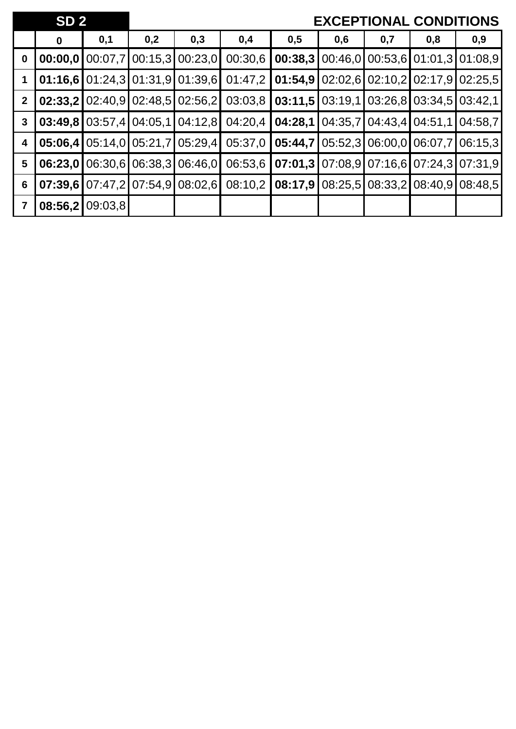|                | SD <sub>2</sub> |         |     |                                         |         |         | <b>EXCEPTIONAL CONDITIONS</b>                                                                                      |     |                                         |         |
|----------------|-----------------|---------|-----|-----------------------------------------|---------|---------|--------------------------------------------------------------------------------------------------------------------|-----|-----------------------------------------|---------|
|                | $\mathbf 0$     | 0,1     | 0,2 | 0,3                                     | 0,4     | 0,5     | 0,6                                                                                                                | 0,7 | 0,8                                     | 0,9     |
| $\mathbf 0$    | 00:00,0         |         |     | $[00:07,7]$ 00:15,3 00:23,0             | 00:30,6 | 00:38,3 |                                                                                                                    |     | 00:46,0 00:53,6 01:01,3 01:08,9         |         |
|                |                 |         |     | $01:16,6$   01:24,3   01:31,9   01:39,6 | 01:47,2 | 01:54,9 |                                                                                                                    |     | $02:02,6$ $02:10,2$ $02:17,9$ $02:25,5$ |         |
| $\overline{2}$ | 02:33,2         |         |     | $02:40,9$ 02:48,5 02:56,2               | 03:03,8 |         | <b>03:11,5</b> $\left[ 03:19,1 \right]$ $\left[ 03:26,8 \right]$ $\left[ 03:34,5 \right]$ $\left[ 03:42,1 \right]$ |     |                                         |         |
| $\mathbf{3}$   | 03:49.8         |         |     | $03:57,4$ 04:05,1 04:12,8               | 04:20,4 | 04:28,1 |                                                                                                                    |     | $04:35.7$ $04:43.4$ $04:51.1$ $04:58.7$ |         |
| 4              | 05:06.4         |         |     | 05:14,0 05:21,7 05:29,4                 | 05:37,0 | 05:44.7 |                                                                                                                    |     | 05:52,3 06:00,0 06:07,7                 | 06:15,3 |
| 5              | 06:23,0         |         |     | 06:30,6 06:38,3 06:46,0                 | 06:53,6 | 07:01,3 |                                                                                                                    |     | $07:08.9$ $07:16.6$ $07:24.3$ $07:31.9$ |         |
| 6              |                 |         |     | $07:39.6$   07:47,2   07:54,9   08:02,6 | 08:10,2 |         | <b>08:17,9</b> $\left[ 08:25,5 \right]$ 08:33,2 $\left[ 08:40,9 \right]$ 08:48,5                                   |     |                                         |         |
| $\overline{7}$ | 08:56,2         | 09:03,8 |     |                                         |         |         |                                                                                                                    |     |                                         |         |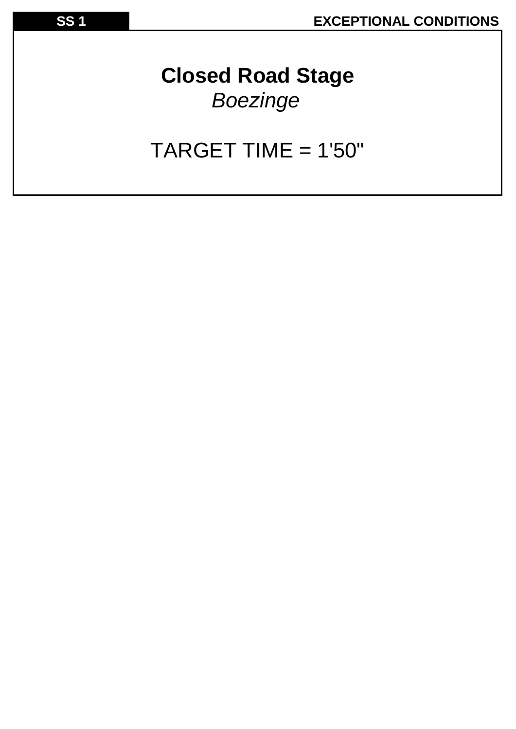## **Closed Road Stage** *Boezinge*

## TARGET TIME = 1'50"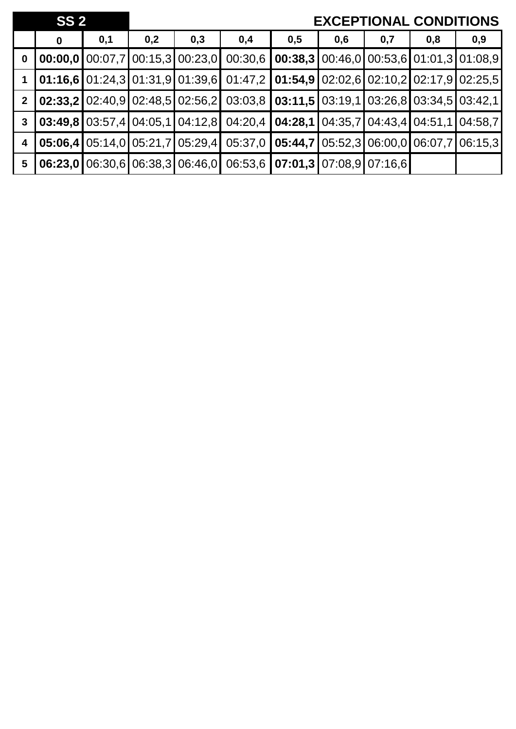|                         | SS <sub>2</sub> |     |     |     |                                                                                                                                                                                                                                                                                                                                           |     |     |     | <b>EXCEPTIONAL CONDITIONS</b> |     |
|-------------------------|-----------------|-----|-----|-----|-------------------------------------------------------------------------------------------------------------------------------------------------------------------------------------------------------------------------------------------------------------------------------------------------------------------------------------------|-----|-----|-----|-------------------------------|-----|
|                         | $\mathbf 0$     | 0,1 | 0,2 | 0,3 | 0,4                                                                                                                                                                                                                                                                                                                                       | 0,5 | 0,6 | 0,7 | 0,8                           | 0,9 |
| $\mathbf 0$             |                 |     |     |     | <b>00:00,0</b> 00:07,7 00:15,3 00:23,0 00:30,6 <b>00:38,3</b> 00:46,0 00:53,6 01:01,3 01:08,9                                                                                                                                                                                                                                             |     |     |     |                               |     |
|                         |                 |     |     |     | $\vert$ 01:16,6 $\vert$ 01:24,3 $\vert$ 01:31,9 $\vert$ 01:39,6 $\vert$ 01:47,2 $\vert$ 01:54,9 $\vert$ 02:02,6 $\vert$ 02:10,2 $\vert$ 02:17,9 $\vert$ 02:25,5                                                                                                                                                                           |     |     |     |                               |     |
| $2^{\circ}$             |                 |     |     |     | $\vert 02:33,2 \vert 02:40,9 \vert 02:48,5 \vert 02:56,2 \vert 03:03,8 \vert 03:11,5 \vert 03:19,1 \vert 03:26,8 \vert 03:34,5 \vert 03:42,1 \vert 03:5 \vert 03:42,1 \vert 03:5 \vert 03:5 \vert 03:42,1 \vert 03:5 \vert 03:5 \vert 03:5 \vert 03:5 \vert 03:5 \vert 03:5 \vert 03:5 \vert 03:5 \vert 03:5 \vert 03:5 \vert 03:5 \vert$ |     |     |     |                               |     |
| $\mathbf{3}$            |                 |     |     |     |                                                                                                                                                                                                                                                                                                                                           |     |     |     |                               |     |
| $\overline{\mathbf{4}}$ |                 |     |     |     | 05:06,4 05:14,0 05:21,7 05:29,4 05:37,0 05:44,7 05:52,3 06:00,0 06:07,7 06:15,3                                                                                                                                                                                                                                                           |     |     |     |                               |     |
| $5\phantom{1}$          |                 |     |     |     | 06:23.0 06:30.6 06:38,3 06:46,0 06:53,6 07:01,3 07:08,9 07:16,6                                                                                                                                                                                                                                                                           |     |     |     |                               |     |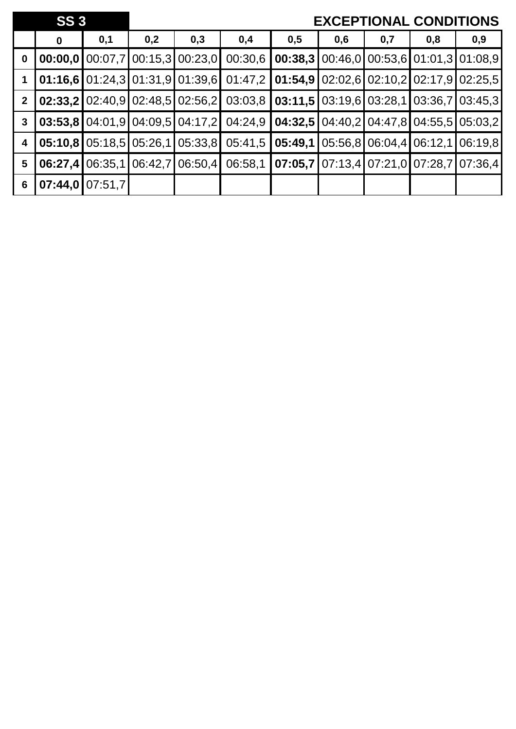|                         | <b>SS3</b>  |                   |     |                                         |                                                                                                                 |                                                             |     |     | <b>EXCEPTIONAL CONDITIONS</b>             |         |
|-------------------------|-------------|-------------------|-----|-----------------------------------------|-----------------------------------------------------------------------------------------------------------------|-------------------------------------------------------------|-----|-----|-------------------------------------------|---------|
|                         | $\mathbf 0$ | 0,1               | 0,2 | 0,3                                     | 0,4                                                                                                             | 0,5                                                         | 0,6 | 0,7 | 0,8                                       | 0,9     |
| $\mathbf 0$             |             |                   |     | $00:00,0$   00:07,7   00:15,3   00:23,0 | 00:30,6                                                                                                         |                                                             |     |     | $00:38,3100:46,0100:53,6101:01,3101:08,9$ |         |
|                         |             |                   |     | $01:16,6$   01:24,3   01:31,9   01:39,6 |                                                                                                                 | $01:47,2$   01:54,9   02:02,6   02:10,2   02:17,9   02:25,5 |     |     |                                           |         |
| 2 <sup>2</sup>          |             |                   |     | 02:33,2102:40,9102:48,5102:56,21        |                                                                                                                 | $03:03,8$   03:11,5   03:19,6   03:28,1   03:36,7   03:45,3 |     |     |                                           |         |
| $\mathbf{3}$            |             |                   |     |                                         | <b>03:53,8</b>   04:01,9   04:09,5   04:17,2   04:24,9   <b>04:32,5</b>   04:40,2   04:47,8   04:55,5   05:03,2 |                                                             |     |     |                                           |         |
| $\overline{\mathbf{4}}$ |             |                   |     | $05:10,8$   05:18,5   05:26,1   05:33,8 | 05:41,5                                                                                                         |                                                             |     |     | $05:49,1$ 05:56,8 06:04,4 06:12,1         | 06:19.8 |
| 5                       | 06:27,4     |                   |     | 06:35.1 06:42.7 06:50.4                 | 06:58,1                                                                                                         |                                                             |     |     | $07:05,7$ 07:13,4 07:21,0 07:28,7 07:36,4 |         |
| 6                       |             | $07:44.0$ 07:51.7 |     |                                         |                                                                                                                 |                                                             |     |     |                                           |         |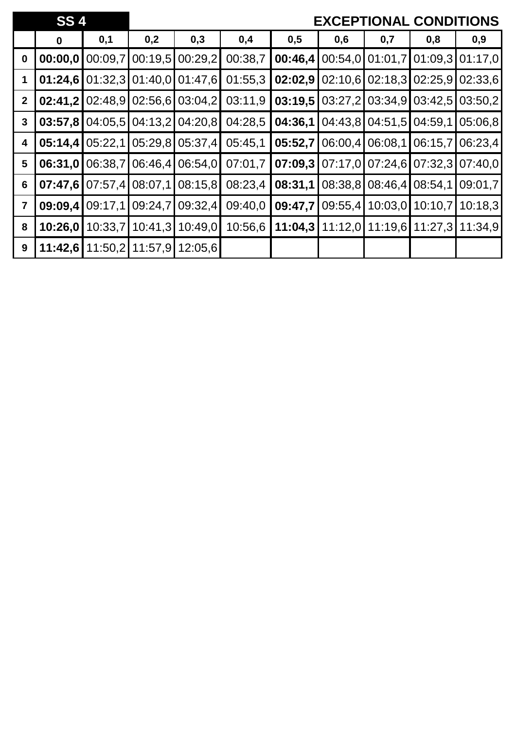|                         | <b>SS4</b>  |         |                 |                           |         |          | <b>EXCEPTIONAL CONDITIONS</b> |                   |                         |                   |
|-------------------------|-------------|---------|-----------------|---------------------------|---------|----------|-------------------------------|-------------------|-------------------------|-------------------|
|                         | $\mathbf 0$ | 0,1     | 0,2             | 0,3                       | 0,4     | 0,5      | 0,6                           | 0,7               | 0,8                     | 0,9               |
| $\bf{0}$                | 00:00,0     | 00:09,7 | 00:19,5         | 00:29,2                   | 00:38,7 | 00:46,4  | 00:54,0                       | 01:01,7           |                         | 01:09.3 01:17.0   |
|                         | 01:24,6     |         |                 | $01:32,3$ 01:40,0 01:47,6 | 01:55,3 | 02:02,9  |                               | $02:10,6$ 02:18,3 |                         | $02:25.9$ 02:33.6 |
| $\mathbf{2}$            | 02:41,2     |         |                 | 02:48,9 02:56,6 03:04,2   | 03:11,9 | 03:19.5  |                               | $03:27,2$ 03:34,9 |                         | $03:42,5$ 03:50,2 |
| $\mathbf{3}$            | 03:57,8     | 04:05,5 |                 | 04:13,2 04:20,8           | 04:28,5 | 04:36,1  |                               | $04:43,8$ 04:51,5 | 04:59,1                 | 05:06,8           |
| 4                       | 05:14,4     | 05:22,1 |                 | $05:29,8$ 05:37,4         | 05:45,1 | 05:52,7  | 06:00,4                       | 06:08,1           | 06:15,7                 | 06:23,4           |
| 5                       | 06:31,0     | 06:38,7 | 06:46,4         | 06:54,0                   | 07:01,7 | 07:09,3  |                               | 07:17,0 07:24,6   | 07:32,3                 | 07:40,0           |
| 6                       | 07:47,6     | 07:57,4 | 08:07,1         | 08:15,8                   | 08:23,4 | 08:31,1  | 08:38,8                       | 08:46,4           | 08:54,1                 | 09:01,7           |
| $\overline{\mathbf{7}}$ | 09:09,4     |         | 09:17,1 09:24,7 | 09:32,4                   | 09:40,0 | 09:47,71 | 09:55,4                       | 10:03,0           | 10:10,7                 | 10:18,3           |
| 8                       | 10:26.0     | 10:33,7 | 10:41,3         | 10:49,0                   | 10:56,6 | 11:04,3  | 11:12,0                       |                   | 11:19,6 11:27,3 11:34,9 |                   |
| 9                       | 11:42,6     |         | 11:50,2 11:57,9 | 12:05.6                   |         |          |                               |                   |                         |                   |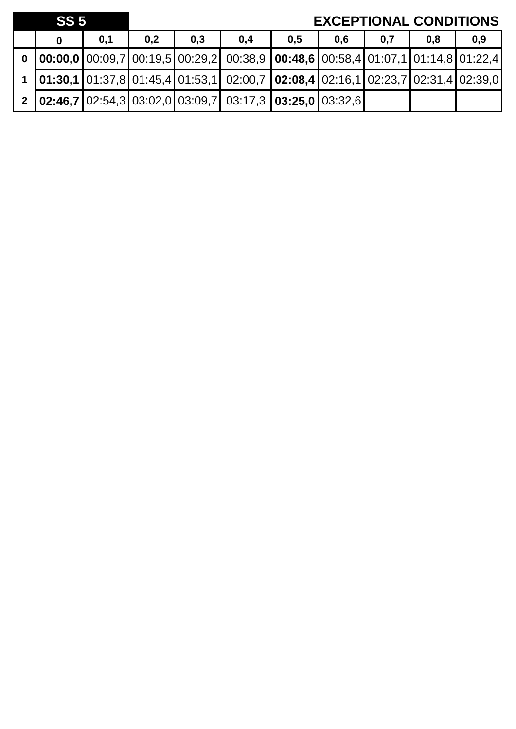|          | SS <sub>5</sub> |     |     |     |                                                                                                                                                                 |     |     |     | <b>EXCEPTIONAL CONDITIONS</b> |     |
|----------|-----------------|-----|-----|-----|-----------------------------------------------------------------------------------------------------------------------------------------------------------------|-----|-----|-----|-------------------------------|-----|
|          |                 | 0,1 | 0,2 | 0.3 | 0,4                                                                                                                                                             | 0,5 | 0.6 | 0,7 | 0,8                           | 0,9 |
| $\bf{0}$ |                 |     |     |     | $\vert$ 00:00,0 $\vert$ 00:09,7 $\vert$ 00:19,5 $\vert$ 00:29,2 $\vert$ 00:38,9 $\vert$ 00:48,6 $\vert$ 00:58,4 $\vert$ 01:07,1 $\vert$ 01:14,8 $\vert$ 01:22,4 |     |     |     |                               |     |
|          |                 |     |     |     | 1 <b>01:30,1</b> 01:37,8 01:45,4 01:53,1 02:00,7 <b>02:08,4</b> 02:16,1 02:23,7 02:31,4 02:39,0                                                                 |     |     |     |                               |     |
|          |                 |     |     |     | 2   02:46,7   02:54,3   03:02,0   03:09,7   03:17,3   03:25,0   03:32,6                                                                                         |     |     |     |                               |     |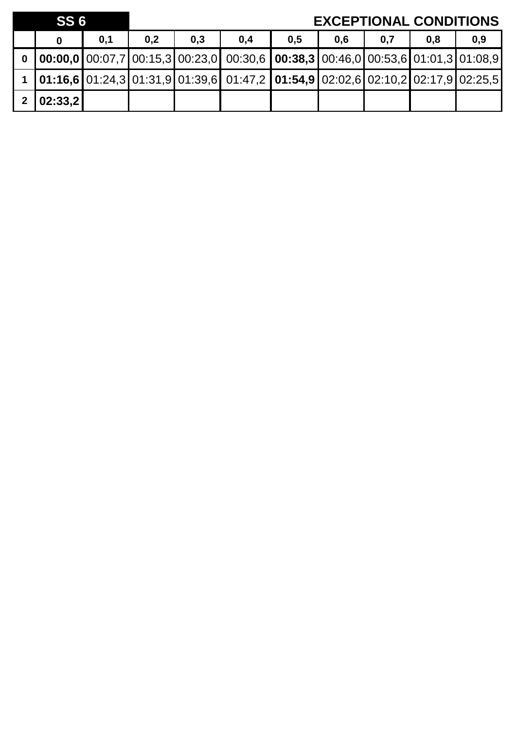| SS6       |     |     |     |                                                                                                                                                                           |     |     |     | <b>EXCEPTIONAL CONDITIONS</b> |     |
|-----------|-----|-----|-----|---------------------------------------------------------------------------------------------------------------------------------------------------------------------------|-----|-----|-----|-------------------------------|-----|
|           | 0,1 | 0,2 | 0,3 | 0,4                                                                                                                                                                       | 0,5 | 0.6 | 0,7 | 0.8                           | 0,9 |
|           |     |     |     | 0 $\vert$ 00:00,0 $\vert$ 00:07,7 $\vert$ 00:15,3 $\vert$ 00:23,0 $\vert$ 00:30,6 $\vert$ 00:38,3 $\vert$ 00:46,0 $\vert$ 00:53,6 $\vert$ 01:01,3 $\vert$ 01:08,9 $\vert$ |     |     |     |                               |     |
|           |     |     |     | 1 01:16,6 01:24,3 01:31,9 01:39,6 01:47,2 01:54,9 02:02,6 02:10,2 02:17,9 02:25,5                                                                                         |     |     |     |                               |     |
| 2 02:33,2 |     |     |     |                                                                                                                                                                           |     |     |     |                               |     |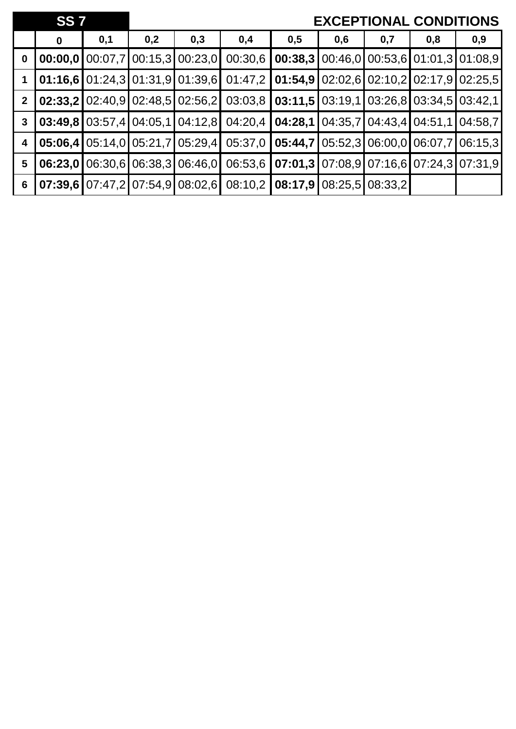|                         | <b>SS7</b> |     |     |                                         |                                                                                               |                                                             |     |     | <b>EXCEPTIONAL CONDITIONS</b>             |     |
|-------------------------|------------|-----|-----|-----------------------------------------|-----------------------------------------------------------------------------------------------|-------------------------------------------------------------|-----|-----|-------------------------------------------|-----|
|                         | 0          | 0,1 | 0,2 | 0,3                                     | 0,4                                                                                           | 0,5                                                         | 0,6 | 0,7 | 0,8                                       | 0,9 |
| $\mathbf 0$             |            |     |     | $00:00,0$   00:07,7   00:15,3   00:23,0 | 00:30,6                                                                                       |                                                             |     |     | $00:38,3100:46,0100:53,6101:01,3101:08,9$ |     |
|                         |            |     |     | $01:16,6$   01:24,3   01:31,9   01:39,6 |                                                                                               | $01:47,2$   01:54,9   02:02,6   02:10,2   02:17,9   02:25,5 |     |     |                                           |     |
| $\overline{2}$          |            |     |     |                                         | 02:33,2 02:40,9 02:48,5 02:56,2 03:03,8 03:11,5 03:19,1 03:26,8 03:34,5 03:42,1               |                                                             |     |     |                                           |     |
| $\mathbf{3}$            |            |     |     |                                         | <b>03:49,8</b> 03:57,4 04:05,1 04:12,8 04:20,4 <b>04:28,1</b> 04:35,7 04:43,4 04:51,1 04:58,7 |                                                             |     |     |                                           |     |
| $\overline{\mathbf{4}}$ |            |     |     | $05:06,4$   05:14,0   05:21,7   05:29,4 |                                                                                               | $05:37,0$   05:44,7   05:52,3   06:00,0   06:07,7   06:15,3 |     |     |                                           |     |
| $5\phantom{.0}$         |            |     |     | 06:23.0106:30.6106:38.3106:46.01        |                                                                                               | 06:53,6   07:01,3   07:08,9   07:16,6   07:24,3   07:31,9   |     |     |                                           |     |
| $6\phantom{1}6$         |            |     |     | <b>07:39,6</b> 07:47,2 07:54,9 08:02,6  |                                                                                               | 08:10,2 08:17,9 08:25,5 08:33,2                             |     |     |                                           |     |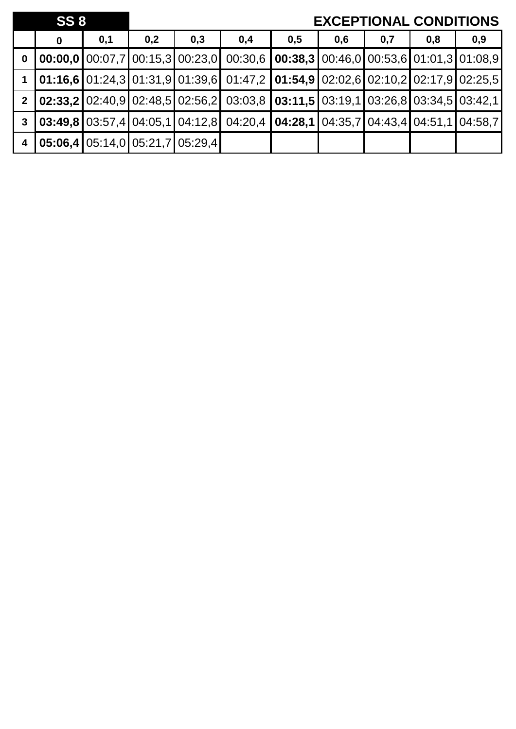|                | <b>SS 8</b>                                                 |     |     |     |                                                                                                                                                                 |     |     | <b>EXCEPTIONAL CONDITIONS</b> |     |     |
|----------------|-------------------------------------------------------------|-----|-----|-----|-----------------------------------------------------------------------------------------------------------------------------------------------------------------|-----|-----|-------------------------------|-----|-----|
|                | $\mathbf 0$                                                 | 0,1 | 0,2 | 0,3 | 0,4                                                                                                                                                             | 0,5 | 0,6 | 0,7                           | 0,8 | 0,9 |
| $\mathbf 0$    |                                                             |     |     |     | <b>00:00,0</b> 00:07,7 00:15,3 00:23,0 00:30,6 <b>00:38,3</b> 00:46,0 00:53,6 01:01,3 01:08,9                                                                   |     |     |                               |     |     |
|                |                                                             |     |     |     | $\vert$ 01:16,6 $\vert$ 01:24,3 $\vert$ 01:31,9 $\vert$ 01:39,6 $\vert$ 01:47,2 $\vert$ 01:54,9 $\vert$ 02:02,6 $\vert$ 02:10,2 $\vert$ 02:17,9 $\vert$ 02:25,5 |     |     |                               |     |     |
| 2 <sup>1</sup> |                                                             |     |     |     | $\vert$ 02:33,2 $\vert$ 02:40,9 $\vert$ 02:48,5 $\vert$ 02:56,2 $\vert$ 03:03,8 $\vert$ 03:11,5 $\vert$ 03:19,1 $\vert$ 03:26,8 $\vert$ 03:34,5 $\vert$ 03:42,1 |     |     |                               |     |     |
| $\mathbf{3}$   |                                                             |     |     |     | $\vert 03:49,8 \vert 03:57,4 \vert 04:05,1 \vert 04:12,8 \vert 04:20,4 \vert 04:28,1 \vert 04:35,7 \vert 04:43,4 \vert 04:51,1 \vert 04:58,7$                   |     |     |                               |     |     |
| $\overline{4}$ | $\mid$ 05:06,4 $\mid$ 05:14,0 $\mid$ 05:21,7 $\mid$ 05:29,4 |     |     |     |                                                                                                                                                                 |     |     |                               |     |     |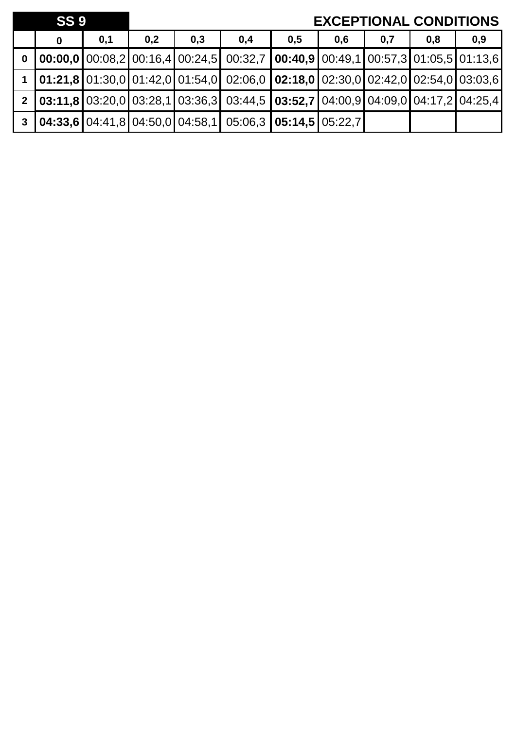|              | <b>SS 9</b> |     |     |     |                                                                                                                                                                   |     |     | <b>EXCEPTIONAL CONDITIONS</b> |     |     |
|--------------|-------------|-----|-----|-----|-------------------------------------------------------------------------------------------------------------------------------------------------------------------|-----|-----|-------------------------------|-----|-----|
|              | $\bf{0}$    | 0,1 | 0,2 | 0,3 | 0,4                                                                                                                                                               | 0,5 | 0,6 | 0,7                           | 0,8 | 0,9 |
|              |             |     |     |     | $\vert$ 00:00,0 $\vert$ 00:08,2 $\vert$ 00:16,4 $\vert$ 00:24,5 $\vert$ 00:32,7 $\vert$ 00:40,9 $\vert$ 00:49,1 $\vert$ 00:57,3 $\vert$ 01:05,5 $\vert$ 01:13,6   |     |     |                               |     |     |
|              |             |     |     |     | $\vert$ 01:21,8 $\vert$ 01:30,0 $\vert$ 01:42,0 $\vert$ 01:54,0 $\vert$ 02:06,0 $\vert$ 02:18,0 $\vert$ 02:30,0 $\vert$ 02:42,0 $\vert$ 02:54,0 $\vert$ 03:03,6   |     |     |                               |     |     |
|              |             |     |     |     | 2 $\vert$ 03:11,8 $\vert$ 03:20,0 $\vert$ 03:28,1 $\vert$ 03:36,3 $\vert$ 03:44,5 $\vert$ 03:52,7 $\vert$ 04:00,9 $\vert$ 04:09,0 $\vert$ 04:17,2 $\vert$ 04:25,4 |     |     |                               |     |     |
| $\mathbf{3}$ |             |     |     |     | $\vert$ 04:33,6 04:41,8 04:50,0 04:58,1 05:06,3 05:14,5 05:22,7                                                                                                   |     |     |                               |     |     |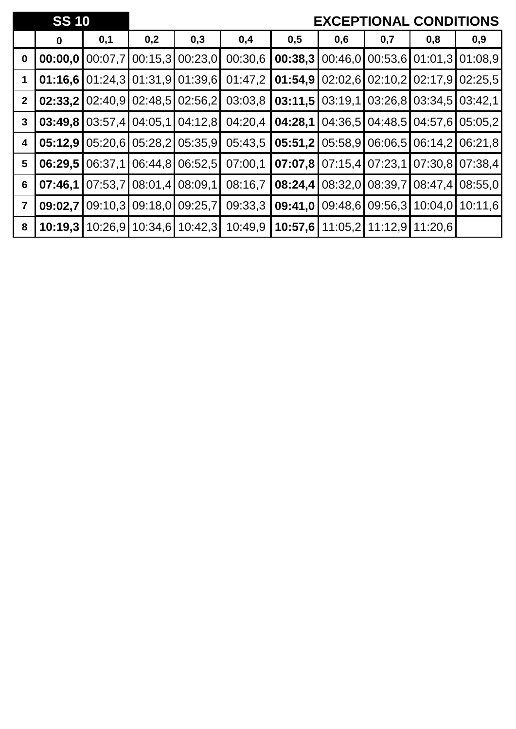|                | <b>SS 10</b> |         |         |                           |         |         |     |                          | <b>EXCEPTIONAL CONDITIONS</b>           |                 |
|----------------|--------------|---------|---------|---------------------------|---------|---------|-----|--------------------------|-----------------------------------------|-----------------|
|                | $\bf{0}$     | 0,1     | 0,2     | 0,3                       | 0,4     | 0,5     | 0,6 | 0,7                      | 0,8                                     | 0,9             |
| $\mathbf 0$    | 00:00,0      | 00:07,7 |         | 00:15,3 00:23,0           | 00:30,6 | 00:38,3 |     |                          | 00:46,0 00:53,6 01:01,3 01:08,9         |                 |
|                | 01:16,6      |         |         | $01:24.3$ 01:31,9 01:39,6 | 01:47,2 | 01:54.9 |     |                          | $02:02,6$ $02:10,2$ $02:17,9$ $02:25,5$ |                 |
| $\mathbf{2}$   | 02:33,2      |         |         | $02:40.9$ 02:48.5 02:56.2 | 03:03,8 | 03:11,5 |     |                          | $03:19,1$ $03:26,8$ $03:34,5$ $03:42,1$ |                 |
| 3              | 03:49.8      |         |         | $03:57,4$ 04:05,1 04:12,8 | 04:20,4 | 04:28,1 |     |                          | 04:36,5 04:48,5 04:57,6 05:05,2         |                 |
| 4              | 05:12,9      |         |         | $05:20,6$ 05:28,2 05:35,9 | 05:43,5 | 05:51,2 |     |                          | 05:58,9 06:06,5 06:14,2                 | 06:21,8         |
| 5              | 06:29,5      | 06:37,1 |         | 06:44,8 06:52,5           | 07:00,1 |         |     | 07:07,8107:15,4107:23,11 |                                         | 07:30.8 07:38.4 |
| 6              | 07:46,1      | 07:53,7 |         | $08:01,4$ 08:09,1         | 08:16,7 | 08:24,4 |     | 08:32,0 08:39,7          | 08:47,4                                 | 08:55,0         |
| $\overline{7}$ | 09:02,7      |         |         | 09:10,3 09:18,0 09:25,7   | 09:33,3 | 09:41,0 |     |                          | 09:48,6 09:56,3 10:04,0                 | 10:11.6         |
| 8              | 10:19,3      | 10:26.9 | 10:34,6 | 10:42,3                   | 10:49,9 | 10:57,6 |     |                          | 11:05,2 11:12,9 11:20,6                 |                 |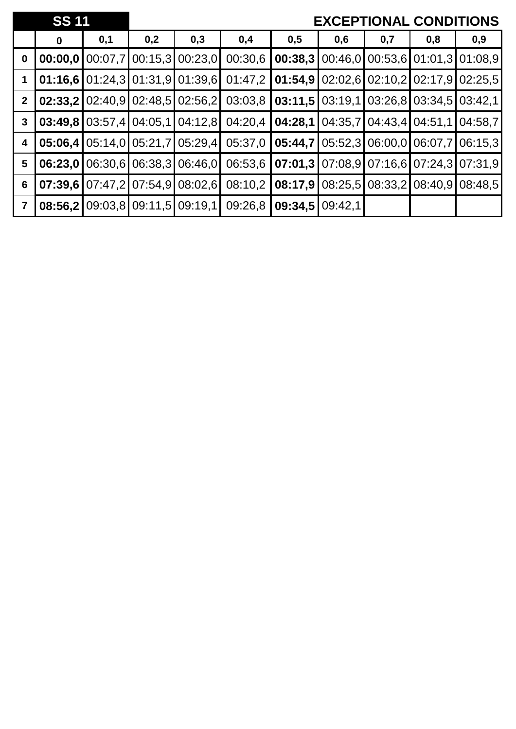|                | <b>SS 11</b> |     |     |                                         |         |         | <b>EXCEPTIONAL CONDITIONS</b>                          |     |                                   |         |
|----------------|--------------|-----|-----|-----------------------------------------|---------|---------|--------------------------------------------------------|-----|-----------------------------------|---------|
|                | $\bf{0}$     | 0,1 | 0,2 | 0,3                                     | 0,4     | 0,5     | 0,6                                                    | 0,7 | 0,8                               | 0,9     |
| $\mathbf 0$    | 00:00,0      |     |     | $[00:07,7]$ 00:15,3 00:23,0             | 00:30,6 | 00:38,3 |                                                        |     | 00:46,0 00:53,6 01:01,3 01:08,9   |         |
|                |              |     |     | $01:16,6$   01:24,3   01:31,9   01:39,6 | 01:47,2 | 01:54,9 |                                                        |     | $02:02,6$ 02:10,2 02:17,9 02:25,5 |         |
| $\mathbf{2}$   | 02:33,21     |     |     | 02:40,9102:48,5102:56,21                | 03:03,8 |         | <b>03:11,5</b>   03:19,1   03:26,8   03:34,5   03:42,1 |     |                                   |         |
| $\mathbf{3}$   | 03:49.8      |     |     | $03:57,4$   04:05,1   04:12,8           | 04:20,4 | 04:28,1 |                                                        |     | 04:35,7 04:43,4 04:51,1 04:58,7   |         |
| 4              | 05:06.4      |     |     | 05:14,0 05:21,7 05:29.4                 | 05:37,0 | 05:44,7 |                                                        |     | 05:52,3 06:00,0 06:07,7           | 06:15.3 |
| 5              | 06:23,0      |     |     | 06:30.6 06:38.3 06:46.0                 | 06:53,6 | 07:01,3 |                                                        |     | 07:08.9 07:16.6 07:24.3 07:31.9   |         |
| 6              | 07:39,6      |     |     | $07:47,2$ 07:54,9 08:02,6               | 08:10,2 | 08:17,9 |                                                        |     | 08:25,5 08:33,2 08:40,9 08:48,5   |         |
| $\overline{7}$ | 08:56,2      |     |     | 09:03.8 09:11.5 09:19.1                 | 09:26.8 | 09:34.5 | 09:42.1                                                |     |                                   |         |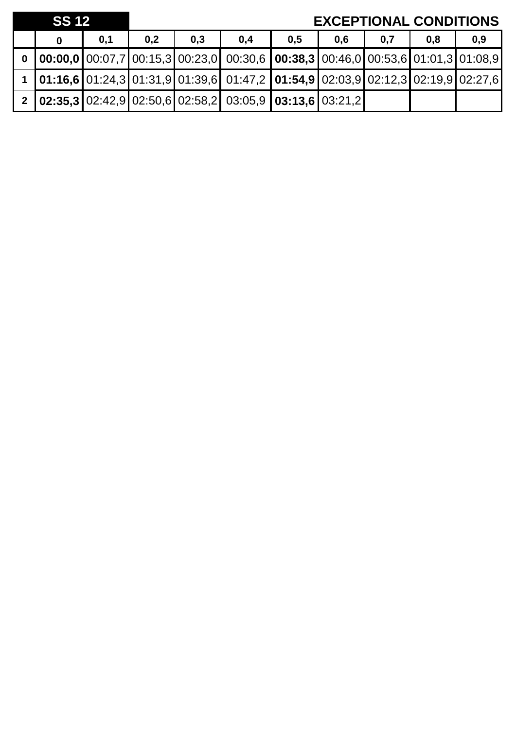| <b>SS 12</b> |     |     |     |                                                                                                                                                                   |     |     |     | <b>EXCEPTIONAL CONDITIONS</b> |     |
|--------------|-----|-----|-----|-------------------------------------------------------------------------------------------------------------------------------------------------------------------|-----|-----|-----|-------------------------------|-----|
| $\bf{0}$     | 0,1 | 0,2 | 0,3 | 0,4                                                                                                                                                               | 0,5 | 0,6 | 0,7 | 0,8                           | 0,9 |
|              |     |     |     | 0 $\vert$ 00:00,0 $\vert$ 00:07,7 $\vert$ 00:15,3 $\vert$ 00:23,0 $\vert$ 00:30,6 $\vert$ 00:38,3 $\vert$ 00:46,0 $\vert$ 00:53,6 $\vert$ 01:01,3 $\vert$ 01:08,9 |     |     |     |                               |     |
|              |     |     |     | 1 $\vert$ 01:16,6 $\vert$ 01:24,3 $\vert$ 01:31,9 $\vert$ 01:39,6 $\vert$ 01:47,2 $\vert$ 01:54,9 $\vert$ 02:03,9 $\vert$ 02:12,3 $\vert$ 02:19,9 $\vert$ 02:27,6 |     |     |     |                               |     |
|              |     |     |     | 2   02:35,3   02:42,9   02:50,6   02:58,2   03:05,9   03:13,6   03:21,2                                                                                           |     |     |     |                               |     |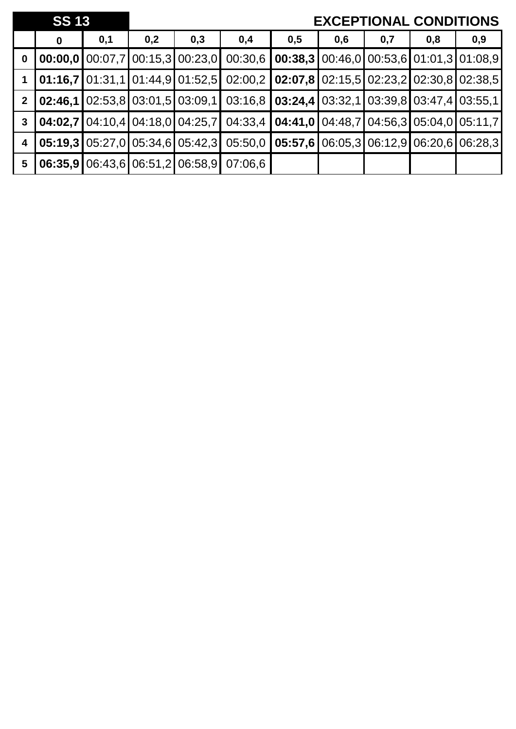|                 | <b>SS 13</b> |     |     |                                                                         |                                                                                                                                                                                                                                                                                                                                   |                                                             |     | <b>EXCEPTIONAL CONDITIONS</b> |     |     |
|-----------------|--------------|-----|-----|-------------------------------------------------------------------------|-----------------------------------------------------------------------------------------------------------------------------------------------------------------------------------------------------------------------------------------------------------------------------------------------------------------------------------|-------------------------------------------------------------|-----|-------------------------------|-----|-----|
|                 | $\mathbf 0$  | 0,1 | 0,2 | 0,3                                                                     | 0,4                                                                                                                                                                                                                                                                                                                               | 0,5                                                         | 0,6 | 0,7                           | 0,8 | 0,9 |
| $\mathbf 0$     |              |     |     | $\left  00:00,0 \right  00:07,7 \left  00:15,3 \right  00:23,0 \right $ |                                                                                                                                                                                                                                                                                                                                   | $00:30,6$   00:38,3   00:46,0   00:53,6   01:01,3   01:08,9 |     |                               |     |     |
|                 |              |     |     |                                                                         | $\vert$ 01:16,7 $\vert$ 01:31,1 $\vert$ 01:44,9 $\vert$ 01:52,5 $\vert$ 02:00,2 $\vert$ 02:07,8 $\vert$ 02:15,5 $\vert$ 02:23,2 $\vert$ 02:30,8 $\vert$ 02:38,5                                                                                                                                                                   |                                                             |     |                               |     |     |
| 2 <sup>1</sup>  | 02:46.1      |     |     |                                                                         | $\vert 02:53,8 \vert 03:01,5 \vert 03:09,1 \vert 03:16,8 \vert 03:24,4 \vert 03:32,1 \vert 03:39,8 \vert 03:47,4 \vert 03:55,1 \vert 03:47 \vert 03:55,1 \vert 03:47 \vert 03:55,1 \vert 03:47 \vert 03:55 \vert 03:47 \vert 03:55 \vert 03:47 \vert 03:47 \vert 03:47 \vert 03:47 \vert 03:47 \vert 03:47 \vert 03:47 \vert 03:$ |                                                             |     |                               |     |     |
| $\mathbf{3}$    |              |     |     |                                                                         | <b>04:02,7</b>   04:10,4   04:18,0   04:25,7   04:33,4   <b>04:41,0</b>   04:48,7   04:56,3   05:04,0   05:11,7                                                                                                                                                                                                                   |                                                             |     |                               |     |     |
| 4               |              |     |     | $05:19,3$   05:27,0   05:34,6   05:42,3                                 |                                                                                                                                                                                                                                                                                                                                   | $05:50,0$   05:57,6   06:05,3   06:12,9   06:20,6   06:28,3 |     |                               |     |     |
| $5\phantom{.0}$ |              |     |     | 06:35,9 06:43,6 06:51,2 06:58,9                                         | 07:06,6                                                                                                                                                                                                                                                                                                                           |                                                             |     |                               |     |     |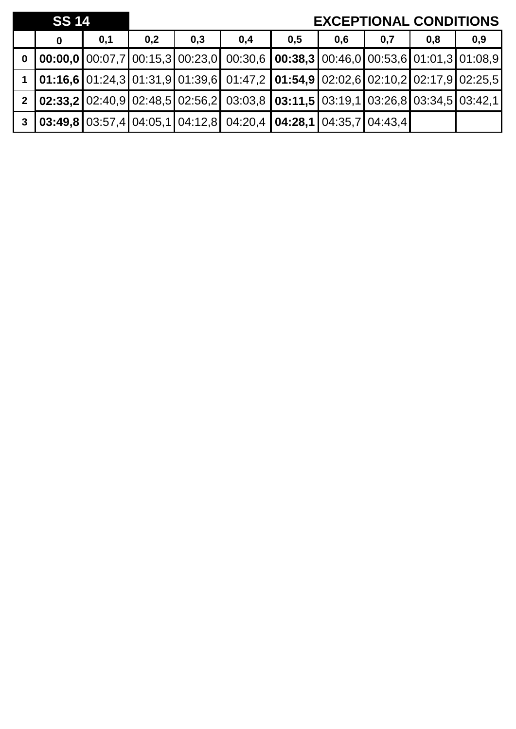|          | <b>SS 14</b> |     |     |     |                                                                                                                                                                 |     |     | <b>EXCEPTIONAL CONDITIONS</b> |     |     |
|----------|--------------|-----|-----|-----|-----------------------------------------------------------------------------------------------------------------------------------------------------------------|-----|-----|-------------------------------|-----|-----|
|          | 0            | 0,1 | 0,2 | 0,3 | 0,4                                                                                                                                                             | 0,5 | 0,6 | 0,7                           | 0,8 | 0,9 |
| $\bf{0}$ |              |     |     |     | $\vert$ 00:00,0 $\vert$ 00:07,7 $\vert$ 00:15,3 $\vert$ 00:23,0 $\vert$ 00:30,6 $\vert$ 00:38,3 $\vert$ 00:46,0 $\vert$ 00:53,6 $\vert$ 01:01,3 $\vert$ 01:08,9 |     |     |                               |     |     |
|          |              |     |     |     | $\vert$ 01:16,6 $\vert$ 01:24,3 $\vert$ 01:31,9 $\vert$ 01:39,6 $\vert$ 01:47,2 $\vert$ 01:54,9 $\vert$ 02:02,6 $\vert$ 02:10,2 $\vert$ 02:17,9 $\vert$ 02:25,5 |     |     |                               |     |     |
|          |              |     |     |     | 2 $\big  02:33,2 \big  02:40,9 \big  02:48,5 \big  02:56,2 \big  03:03,8 \big  03:11,5 \big  03:19,1 \big  03:26,8 \big  03:34,5 \big  03:42,1 \big $           |     |     |                               |     |     |
|          |              |     |     |     | $\vert$ 03:49,8 03:57,4 04:05,1 04:12,8 04:20,4 04:28,1 04:35,7 04:43,4                                                                                         |     |     |                               |     |     |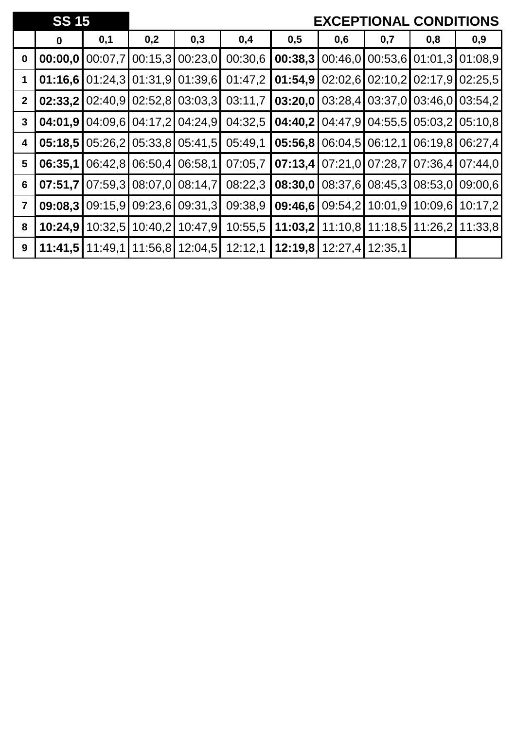|                | <b>SS 15</b> |         |                   |                           |         |         |                         |                 | <b>EXCEPTIONAL CONDITIONS</b>   |                 |
|----------------|--------------|---------|-------------------|---------------------------|---------|---------|-------------------------|-----------------|---------------------------------|-----------------|
|                | $\bf{0}$     | 0,1     | 0,2               | 0,3                       | 0,4     | 0,5     | 0,6                     | 0,7             | 0,8                             | 0,9             |
| $\bf{0}$       | 00:00,0      | 00:07,7 |                   | 00:15,3 00:23,0           | 00:30,6 | 00:38,3 | 00:46,0                 |                 | 00:53,6 01:01,3 01:08,9         |                 |
| 1              | 01:16,6      |         |                   | $01:24,3$ 01:31,9 01:39,6 | 01:47,2 | 01:54,9 |                         |                 | 02:02,6 02:10,2 02:17,9 02:25,5 |                 |
| $\mathbf{2}$   | 02:33,2      |         |                   | $02:40.9$ 02:52.8 03:03.3 | 03:11,7 | 03:20,0 | 03:28,4                 |                 | 03:37,0 03:46,0 03:54,2         |                 |
| $\mathbf{3}$   | 04:01,9      |         |                   | 04:09.6 04:17.2 04:24.9   | 04:32,5 | 04:40,2 |                         |                 | 04:47,9 04:55,5 05:03,2         | 05:10,8         |
| 4              | 05:18,5      | 05:26,2 |                   | $05:33,8$ 05:41,5         | 05:49,1 | 05:56,8 | 06:04,5                 | 06:12,1         |                                 | 06:19,8 06:27,4 |
| 5              | 06:35,1      | 06:42,8 | $06:50,4$ 06:58,1 |                           | 07:05,7 | 07:13,4 |                         | 07:21,0 07:28,7 | $07:36,4$ 07:44,0               |                 |
| 6              | 07:51,7      |         |                   | 07:59.3 08:07.0 08:14.7   | 08:22,3 | 08:30,0 |                         |                 | 08:37,6 08:45,3 08:53,0 09:00,6 |                 |
| $\overline{7}$ | 09:08,3      | 09:15,9 |                   | 09:23,6 09:31,3           | 09:38,9 | 09:46,6 | 09:54,2                 | 10:01,9         | 10:09,6                         | 10:17,2         |
| 8              | 10:24,9      | 10:32,5 | 10:40,2           | 10:47,9                   | 10:55,5 | 11:03,2 |                         | 11:10,8 11:18,5 | 11:26,2                         | 11:33,8         |
| 9              | 11:41,5      |         |                   | 11:49,1 11:56,8 12:04,5   | 12:12,1 |         | 12:19,8 12:27,4 12:35,1 |                 |                                 |                 |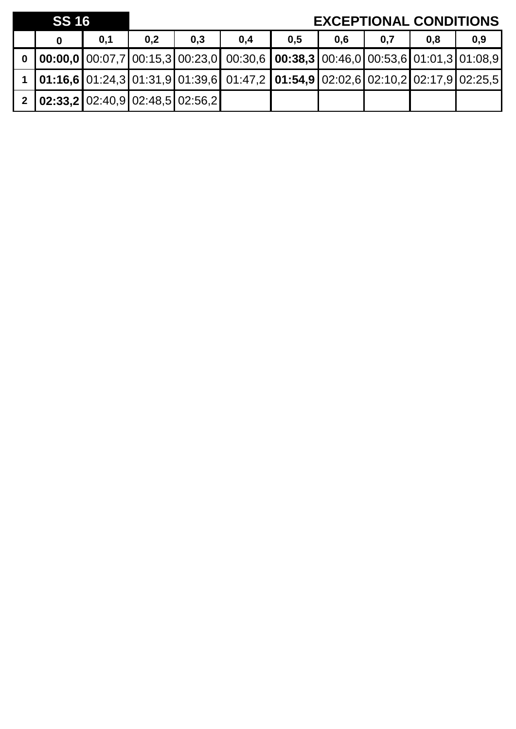|   | <b>SS 16</b>                              |     |     |     |                                                                                                                                                                 |     |     |     | <b>EXCEPTIONAL CONDITIONS</b> |     |
|---|-------------------------------------------|-----|-----|-----|-----------------------------------------------------------------------------------------------------------------------------------------------------------------|-----|-----|-----|-------------------------------|-----|
|   |                                           | 0,1 | 0,2 | 0.3 | 0,4                                                                                                                                                             | 0,5 | 0.6 | 0,7 | 0,8                           | 0,9 |
| 0 |                                           |     |     |     | $\vert$ 00:00,0 $\vert$ 00:07,7 $\vert$ 00:15,3 $\vert$ 00:23,0 $\vert$ 00:30,6 $\vert$ 00:38,3 $\vert$ 00:46,0 $\vert$ 00:53,6 $\vert$ 01:01,3 $\vert$ 01:08,9 |     |     |     |                               |     |
|   |                                           |     |     |     | 1 01:16,6 01:24,3 01:31,9 01:39,6 01:47,2 01:54,9 02:02,6 02:10,2 02:17,9 02:25,5                                                                               |     |     |     |                               |     |
|   | 2   02:33,2   02:40,9   02:48,5   02:56,2 |     |     |     |                                                                                                                                                                 |     |     |     |                               |     |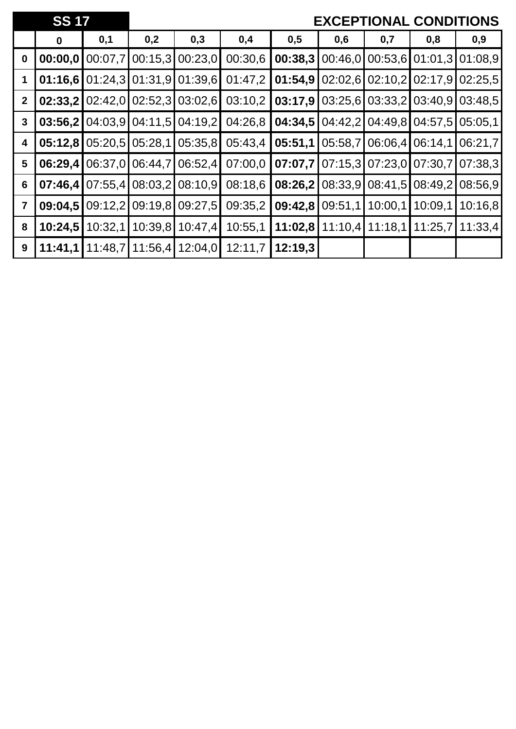|                         | <b>SS 17</b> |                   |         |                           |         |         |         |                   | <b>EXCEPTIONAL CONDITIONS</b>   |                   |
|-------------------------|--------------|-------------------|---------|---------------------------|---------|---------|---------|-------------------|---------------------------------|-------------------|
|                         | $\bf{0}$     | 0,1               | 0,2     | 0,3                       | 0,4     | 0,5     | 0,6     | 0,7               | 0,8                             | 0,9               |
| $\bf{0}$                | 00:00,0      | 00:07,7           |         | 00:15,3 00:23,0           | 00:30,6 | 00:38,3 | 00:46,0 |                   | 00:53,6 01:01,3 01:08,9         |                   |
| 1                       | 01:16,6      |                   |         | $01:24,3$ 01:31,9 01:39,6 | 01:47,2 | 01:54,9 |         |                   | 02:02,6 02:10,2 02:17,9 02:25,5 |                   |
| $\mathbf{2}$            | 02:33,2      | 02:42,0           |         | $02:52,3$ 03:02,6         | 03:10,2 | 03:17,9 |         | $03:25,6$ 03:33,2 |                                 | 03:40,9 03:48,5   |
| $\mathbf{3}$            | 03:56,2      |                   |         | 04:03,9 04:11,5 04:19,2   | 04:26,8 | 04:34,5 | 04:42,2 |                   | 04:49,8 04:57,5 05:05,1         |                   |
| 4                       | 05:12,8      | $05:20,5$ 05:28,1 |         | 05:35,8                   | 05:43,4 | 05:51,1 | 05:58,7 |                   | 06:06,4 06:14,1                 | 06:21,7           |
| 5                       | 06:29,4      | 06:37,0           | 06:44,7 | 06:52,4                   | 07:00,0 | 07:07.7 |         | $07:15.3$ 07:23.0 | 07:30,7                         | 07:38,3           |
| 6                       | 07:46,4      | 07:55,4           | 08:03,2 | 08:10,9                   | 08:18,6 | 08:26,2 | 08:33,9 | 08:41,5           | 08:49,2                         | 08:56,9           |
| $\overline{\mathbf{7}}$ | 09:04,5      | 09:12,2           | 09:19,8 | 09:27,5                   | 09:35,2 | 09:42,8 | 09:51,1 | 10:00,1           | 10:09,1                         | 10:16,8           |
| 8                       | 10:24,5      | 10:32,1           |         | 10:39,8 10:47,4           | 10:55,1 | 11:02,8 | 11:10,4 | 11:18,1           |                                 | $11:25.7$ 11:33,4 |
| 9                       | 11:41,1      |                   |         | 11:48,7 11:56,4 12:04,0   | 12:11,7 | 12:19,3 |         |                   |                                 |                   |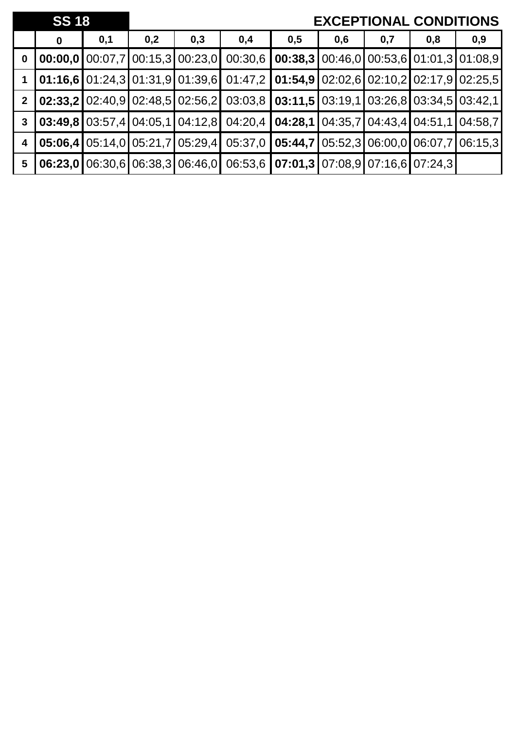|                | <b>SS 18</b> |     |     |     |                                                                                                                                                                 |     |     | <b>EXCEPTIONAL CONDITIONS</b> |     |     |
|----------------|--------------|-----|-----|-----|-----------------------------------------------------------------------------------------------------------------------------------------------------------------|-----|-----|-------------------------------|-----|-----|
|                | $\mathbf 0$  | 0,1 | 0,2 | 0,3 | 0,4                                                                                                                                                             | 0,5 | 0,6 | 0,7                           | 0,8 | 0,9 |
| $\mathbf 0$    |              |     |     |     | <b>00:00,0</b> 00:07,7 00:15,3 00:23,0 00:30,6 <b>00:38,3</b> 00:46,0 00:53,6 01:01,3 01:08,9                                                                   |     |     |                               |     |     |
|                |              |     |     |     | $\vert$ 01:16,6 $\vert$ 01:24,3 $\vert$ 01:31,9 $\vert$ 01:39,6 $\vert$ 01:47,2 $\vert$ 01:54,9 $\vert$ 02:02,6 $\vert$ 02:10,2 $\vert$ 02:17,9 $\vert$ 02:25,5 |     |     |                               |     |     |
| 2 <sup>1</sup> |              |     |     |     | <b>02:33,2</b> 02:40,9 02:48,5 02:56,2 03:03,8 <b>03:11,5</b> 03:19,1 03:26,8 03:34,5 03:42,1                                                                   |     |     |                               |     |     |
| $\mathbf{3}$   |              |     |     |     |                                                                                                                                                                 |     |     |                               |     |     |
| $\overline{4}$ |              |     |     |     | <b>05:06,4</b> 05:14,0 05:21,7 05:29,4 05:37,0 <b>05:44,7</b> 05:52,3 06:00,0 06:07,7 06:15,3                                                                   |     |     |                               |     |     |
| $5\phantom{1}$ |              |     |     |     | <b>06:23,0</b> 06:30,6 06:38,3 06:46,0 06:53,6 <b>07:01,3</b> 07:08,9 07:16,6 07:24,3                                                                           |     |     |                               |     |     |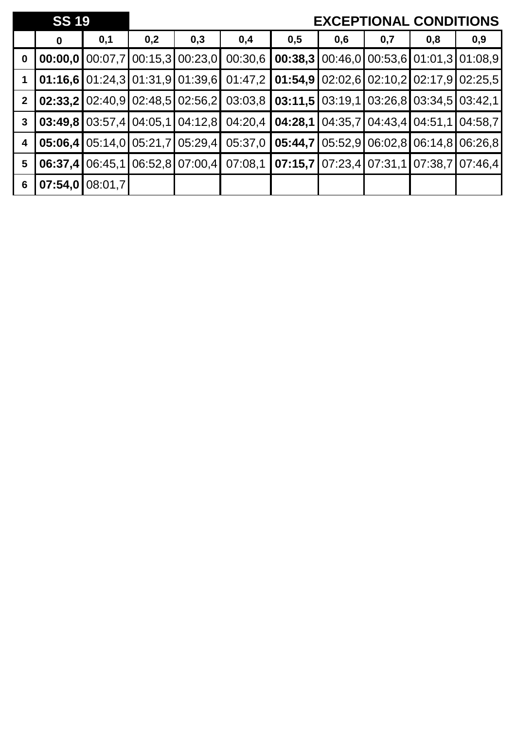|                  | <b>SS 19</b> |         |     |                                         |                                                                                               |                                                             |     |     | <b>EXCEPTIONAL CONDITIONS</b>             |     |
|------------------|--------------|---------|-----|-----------------------------------------|-----------------------------------------------------------------------------------------------|-------------------------------------------------------------|-----|-----|-------------------------------------------|-----|
|                  | $\bf{0}$     | 0,1     | 0,2 | 0,3                                     | 0,4                                                                                           | 0,5                                                         | 0,6 | 0,7 | 0,8                                       | 0,9 |
| $\boldsymbol{0}$ |              |         |     | $00:00,0$   00:07,7   00:15,3   00:23,0 | 00:30,6                                                                                       |                                                             |     |     | $00:38,3$ 00:46,0 00:53,6 01:01,3 01:08,9 |     |
|                  |              |         |     | $01:16,6$   01:24,3   01:31,9   01:39,6 |                                                                                               | $01:47,2$   01:54,9   02:02,6   02:10,2   02:17,9   02:25,5 |     |     |                                           |     |
| $\overline{2}$   |              |         |     | 02:33,2102:40,9102:48,5102:56,21        |                                                                                               | $03:03,8$   03:11,5   03:19,1   03:26,8   03:34,5   03:42,1 |     |     |                                           |     |
| $\mathbf{3}$     |              |         |     |                                         | <b>03:49,8</b> 03:57,4 04:05,1 04:12,8 04:20,4 <b>04:28,1</b> 04:35,7 04:43,4 04:51,1 04:58,7 |                                                             |     |     |                                           |     |
| 4                |              |         |     | $05:06,4$   05:14,0   05:21,7   05:29,4 | 05:37,0                                                                                       |                                                             |     |     | 05:44,7 05:52,9 06:02,8 06:14,8 06:26,8   |     |
| $5\phantom{1}$   | 06:37.4      |         |     | 06:45,1 06:52,8 07:00,4                 | 07:08,1                                                                                       |                                                             |     |     | $07:15,7$ 07:23,4 07:31,1 07:38,7 07:46,4 |     |
| 6                | 07:54,0      | 08:01,7 |     |                                         |                                                                                               |                                                             |     |     |                                           |     |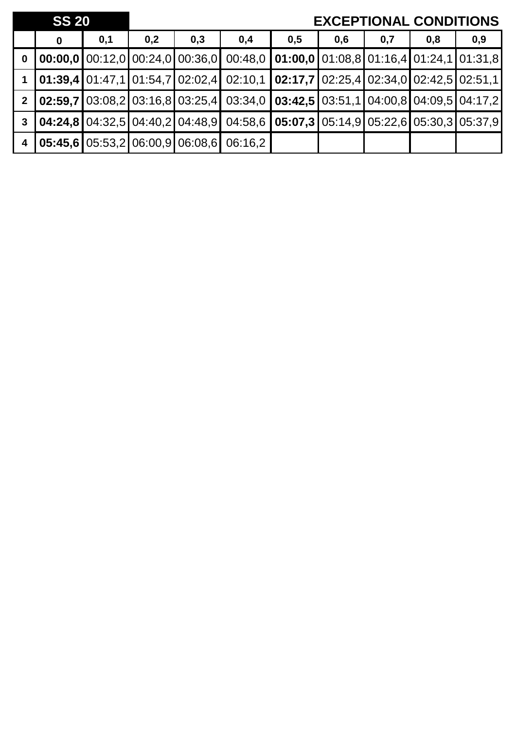|                         | <b>SS 20</b>                                                    |     |     |     |                                                                                                                                                                 |     |     | <b>EXCEPTIONAL CONDITIONS</b> |     |     |
|-------------------------|-----------------------------------------------------------------|-----|-----|-----|-----------------------------------------------------------------------------------------------------------------------------------------------------------------|-----|-----|-------------------------------|-----|-----|
|                         | 0                                                               | 0,1 | 0,2 | 0,3 | 0,4                                                                                                                                                             | 0,5 | 0,6 | 0,7                           | 0,8 | 0,9 |
| $\mathbf 0$             |                                                                 |     |     |     | <b>00:00,0</b> 00:12,0 00:24,0 00:36,0 00:48,0 <b>01:00,0</b> 01:08,8 01:16,4 01:24,1 01:31,8                                                                   |     |     |                               |     |     |
|                         |                                                                 |     |     |     | $\vert$ 01:39,4 01:47,1 01:54,7 02:02,4 02:10,1 02:17,7 02:25,4 02:34,0 02:42,5 02:51,1                                                                         |     |     |                               |     |     |
| $\overline{2}$          |                                                                 |     |     |     | $\vert$ 02:59,7 $\vert$ 03:08,2 $\vert$ 03:16,8 $\vert$ 03:25,4 $\vert$ 03:34,0 $\vert$ 03:42,5 $\vert$ 03:51,1 $\vert$ 04:00,8 $\vert$ 04:09,5 $\vert$ 04:17,2 |     |     |                               |     |     |
| $\mathbf{3}$            |                                                                 |     |     |     | $\vert 04:24,8 \vert 04:32,5 \vert 04:40,2 \vert 04:48,9 \vert 04:58,6 \vert 05:07,3 \vert 05:14,9 \vert 05:22,6 \vert 05:30,3 \vert 05:37,9$                   |     |     |                               |     |     |
| $\overline{\mathbf{4}}$ | $\vert$ 05:45,6 $\vert$ 05:53,2 $\vert$ 06:00,9 $\vert$ 06:08,6 |     |     |     | 06:16,2                                                                                                                                                         |     |     |                               |     |     |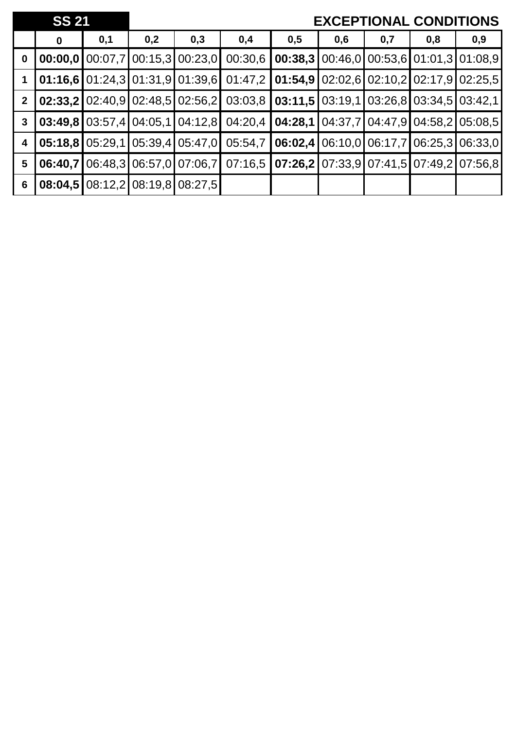|                         | <b>SS 21</b> |     |     |                                                             |                                                                                               |                                                                                         |     |     | <b>EXCEPTIONAL CONDITIONS</b>             |     |
|-------------------------|--------------|-----|-----|-------------------------------------------------------------|-----------------------------------------------------------------------------------------------|-----------------------------------------------------------------------------------------|-----|-----|-------------------------------------------|-----|
|                         | $\bf{0}$     | 0,1 | 0,2 | 0,3                                                         | 0,4                                                                                           | 0,5                                                                                     | 0,6 | 0,7 | 0,8                                       | 0,9 |
| $\mathbf 0$             |              |     |     | $\left[00:00,0\right]00:07,7$ $\left[00:15,3\right]00:23,0$ | 00:30,6                                                                                       |                                                                                         |     |     | $00:38,3100:46,0100:53,6101:01,3101:08,9$ |     |
|                         |              |     |     |                                                             | <b>01:16,6</b> 01:24,3 01:31,9 01:39,6 01:47,2 <b>01:54,9</b> 02:02,6 02:10,2 02:17,9 02:25,5 |                                                                                         |     |     |                                           |     |
| 2 <sup>1</sup>          |              |     |     | <b>02:33,2</b>   02:40,9   02:48,5   02:56,2                |                                                                                               | $03:03,8$   03:11,5   03:19,1   03:26,8   03:34,5   03:42,1                             |     |     |                                           |     |
| $\mathbf{3}$            |              |     |     |                                                             | <b>03:49,8</b> 03:57,4 04:05,1 04:12,8 04:20,4 <b>04:28,1</b> 04:37,7 04:47,9 04:58,2 05:08,5 |                                                                                         |     |     |                                           |     |
| $\overline{\mathbf{4}}$ |              |     |     | $05:18,8$   05:29,1   05:39,4   05:47,0                     | 05:54,7                                                                                       | $\vert$ 06:02,4 $\vert$ 06:10,0 $\vert$ 06:17,7 $\vert$ 06:25,3 $\vert$ 06:33,0 $\vert$ |     |     |                                           |     |
| 5                       | 06:40,7      |     |     | 06:48,3 06:57,0 07:06,7                                     |                                                                                               | $07:16,5$   07:26,2   07:33,9   07:41,5   07:49,2   07:56,8                             |     |     |                                           |     |
| 6                       | 08:04,5      |     |     | 08:12,2108:19,8108:27,5                                     |                                                                                               |                                                                                         |     |     |                                           |     |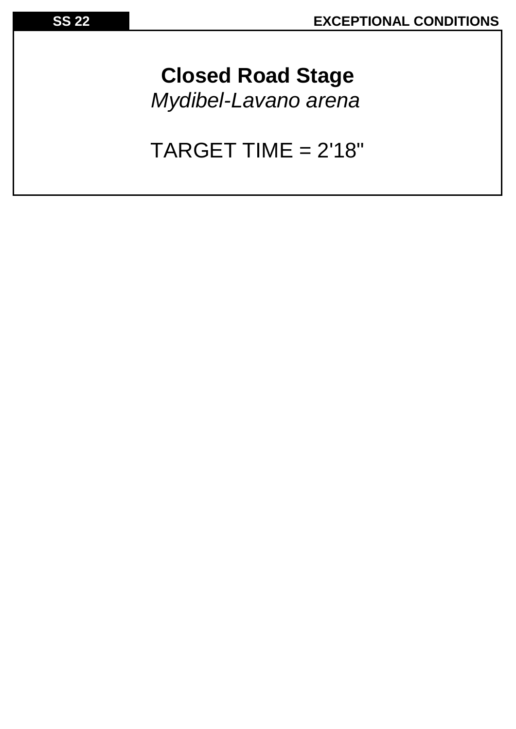**Closed Road Stage** *Mydibel-Lavano arena*

TARGET TIME = 2'18"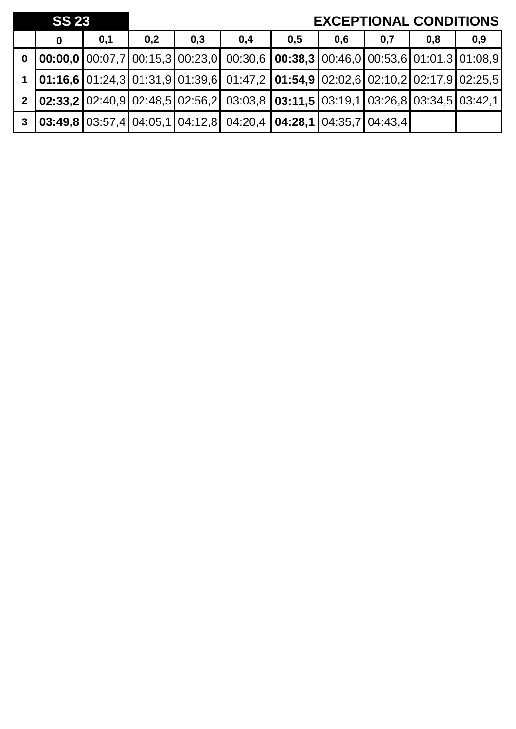|                         | <b>SS 23</b> |     |     |     |                                                                                                                                                                 |     |     | <b>EXCEPTIONAL CONDITIONS</b> |     |     |
|-------------------------|--------------|-----|-----|-----|-----------------------------------------------------------------------------------------------------------------------------------------------------------------|-----|-----|-------------------------------|-----|-----|
|                         | 0            | 0,1 | 0,2 | 0,3 | 0,4                                                                                                                                                             | 0,5 | 0,6 | 0,7                           | 0,8 | 0,9 |
| $\mathbf{0}$            |              |     |     |     | $\vert$ 00:00,0 $\vert$ 00:07,7 $\vert$ 00:15,3 $\vert$ 00:23,0 $\vert$ 00:30,6 $\vert$ 00:38,3 $\vert$ 00:46,0 $\vert$ 00:53,6 $\vert$ 01:01,3 $\vert$ 01:08,9 |     |     |                               |     |     |
|                         |              |     |     |     | $\vert$ 01:16,6 $\vert$ 01:24,3 $\vert$ 01:31,9 $\vert$ 01:39,6 $\vert$ 01:47,2 $\vert$ 01:54,9 $\vert$ 02:02,6 $\vert$ 02:10,2 $\vert$ 02:17,9 $\vert$ 02:25,5 |     |     |                               |     |     |
|                         |              |     |     |     | 2 $\vert$ 02:33,2 02:40,9 02:48,5 02:56,2 03:03,8 03:11,5 03:19,1 03:26,8 03:34,5 03:42,1                                                                       |     |     |                               |     |     |
| $\overline{\mathbf{3}}$ |              |     |     |     | $\vert 03:49,8 \vert 03:57,4 \vert 04:05,1 \vert 04:12,8 \vert 04:20,4 \vert 04:28,1 \vert 04:35,7 \vert 04:43,4 \vert$                                         |     |     |                               |     |     |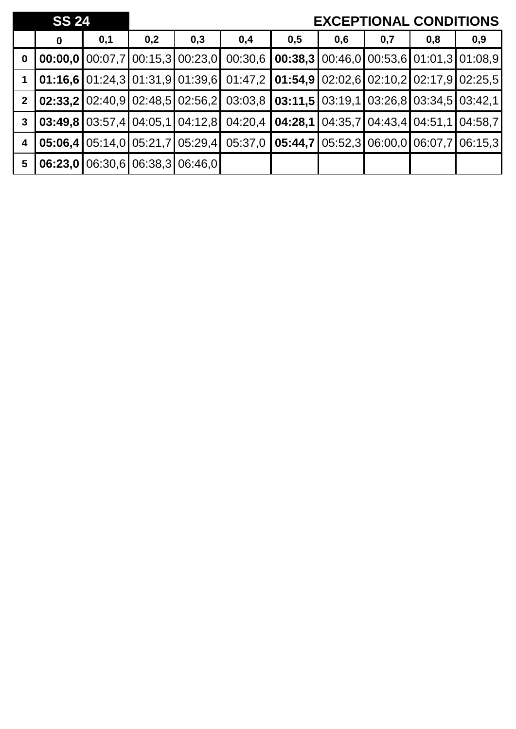|                         | <b>SS 24</b> |     |     |                                         |                                                                                                                                                                                                                                                                                                                                           |                                                             |     |     | <b>EXCEPTIONAL CONDITIONS</b> |     |
|-------------------------|--------------|-----|-----|-----------------------------------------|-------------------------------------------------------------------------------------------------------------------------------------------------------------------------------------------------------------------------------------------------------------------------------------------------------------------------------------------|-------------------------------------------------------------|-----|-----|-------------------------------|-----|
|                         | $\bf{0}$     | 0,1 | 0,2 | 0,3                                     | 0,4                                                                                                                                                                                                                                                                                                                                       | 0,5                                                         | 0,6 | 0,7 | 0,8                           | 0,9 |
| $\mathbf 0$             |              |     |     |                                         | <b>00:00,0</b> 00:07,7 00:15,3 00:23,0 00:30,6 <b>00:38,3</b> 00:46,0 00:53,6 01:01,3 01:08,9                                                                                                                                                                                                                                             |                                                             |     |     |                               |     |
|                         |              |     |     |                                         | $\vert 01:16,6 \vert 01:24,3 \vert 01:31,9 \vert 01:39,6 \vert 01:47,2 \vert 01:54,9 \vert 02:02,6 \vert 02:10,2 \vert 02:17,9 \vert 02:25,5$                                                                                                                                                                                             |                                                             |     |     |                               |     |
| 2 <sup>1</sup>          |              |     |     |                                         | $\vert 02:33,2 \vert 02:40,9 \vert 02:48,5 \vert 02:56,2 \vert 03:03,8 \vert 03:11,5 \vert 03:19,1 \vert 03:26,8 \vert 03:34,5 \vert 03:42,1 \vert 03:5 \vert 03:42,1 \vert 03:5 \vert 03:5 \vert 03:42,1 \vert 03:5 \vert 03:5 \vert 03:5 \vert 03:5 \vert 03:5 \vert 03:5 \vert 03:5 \vert 03:5 \vert 03:5 \vert 03:5 \vert 03:5 \vert$ |                                                             |     |     |                               |     |
| 3                       |              |     |     |                                         | <b>03:49,8</b> 03:57,4 04:05,1 04:12,8 04:20,4 <b>04:28,1</b> 04:35,7 04:43,4 04:51,1 04:58,7                                                                                                                                                                                                                                             |                                                             |     |     |                               |     |
| $\overline{\mathbf{4}}$ |              |     |     | $05:06,4$   05:14,0   05:21,7   05:29,4 |                                                                                                                                                                                                                                                                                                                                           | $05:37,0$   05:44,7   05:52,3   06:00,0   06:07,7   06:15,3 |     |     |                               |     |
| $5\phantom{1}$          |              |     |     | 06:23,0 06:30,6 06:38,3 06:46,0         |                                                                                                                                                                                                                                                                                                                                           |                                                             |     |     |                               |     |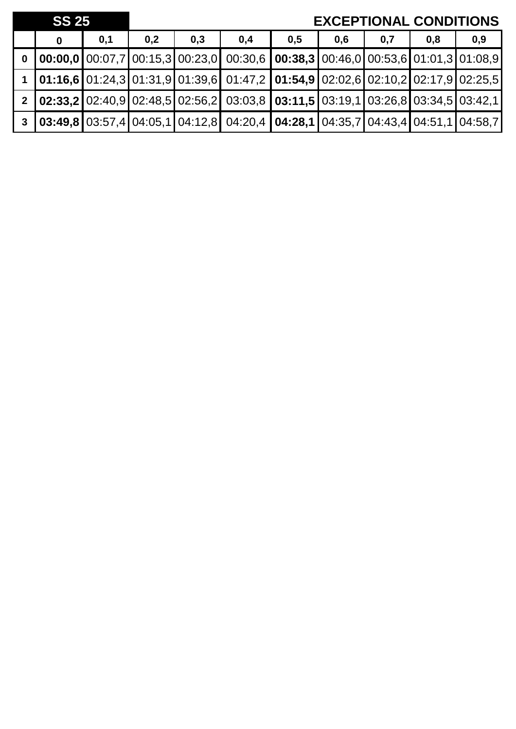| <b>SS 25</b>            |          |     |     |     |                                                                                                                                                                 |     |     | <b>EXCEPTIONAL CONDITIONS</b> |     |     |
|-------------------------|----------|-----|-----|-----|-----------------------------------------------------------------------------------------------------------------------------------------------------------------|-----|-----|-------------------------------|-----|-----|
|                         | $\bf{0}$ | 0,1 | 0,2 | 0,3 | 0,4                                                                                                                                                             | 0,5 | 0,6 | 0,7                           | 0,8 | 0,9 |
| $\overline{\mathbf{0}}$ |          |     |     |     | $\vert$ 00:00,0 $\vert$ 00:07,7 $\vert$ 00:15,3 $\vert$ 00:23,0 $\vert$ 00:30,6 $\vert$ 00:38,3 $\vert$ 00:46,0 $\vert$ 00:53,6 $\vert$ 01:01,3 $\vert$ 01:08,9 |     |     |                               |     |     |
|                         |          |     |     |     | $[01:16,6]01:24,3]01:31,9[01:39,6]01:47,2[01:54,9]02:02,6[02:10,2]02:17,9]02:25,5$                                                                              |     |     |                               |     |     |
|                         |          |     |     |     | 2 <b>02:33,2</b> 02:40,9 02:48,5 02:56,2 03:03,8 <b>03:11,5</b> 03:19,1 03:26,8 03:34,5 03:42,1                                                                 |     |     |                               |     |     |
| 3 <sup>1</sup>          |          |     |     |     | $\vert$ 03:49,8 03:57,4 04:05,1 04:12,8 04:20,4 04:28,1 04:35,7 04:43,4 04:51,1 04:58,7                                                                         |     |     |                               |     |     |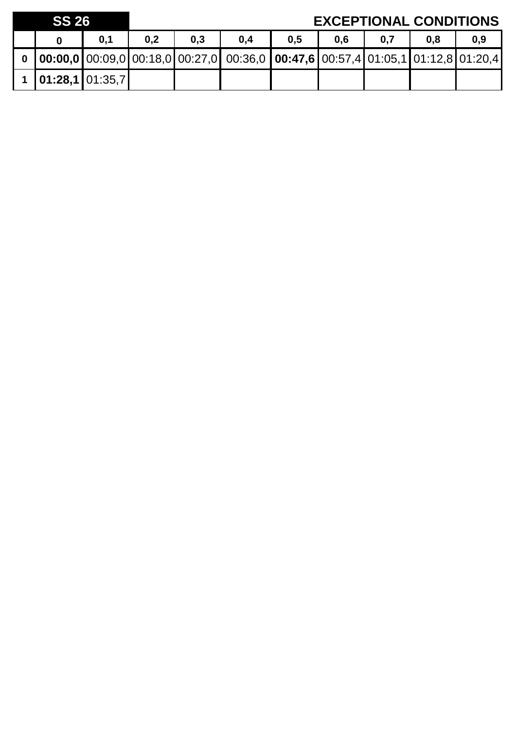| <b>SS 26</b> |                       |     |     |     |                                                                                                                                                                   |     |     | <b>EXCEPTIONAL CONDITIONS</b> |     |     |
|--------------|-----------------------|-----|-----|-----|-------------------------------------------------------------------------------------------------------------------------------------------------------------------|-----|-----|-------------------------------|-----|-----|
|              |                       | 0,1 | 0,2 | 0.3 | 0,4                                                                                                                                                               | 0.5 | 0.6 | 0,7                           | 0.8 | 0,9 |
|              |                       |     |     |     | 0 $\vert$ 00:00,0 $\vert$ 00:09,0 $\vert$ 00:18,0 $\vert$ 00:27,0 $\vert$ 00:36,0 $\vert$ 00:47,6 $\vert$ 00:57,4 $\vert$ 01:05,1 $\vert$ 01:12,8 $\vert$ 01:20,4 |     |     |                               |     |     |
|              | 1   01:28,1   01:35,7 |     |     |     |                                                                                                                                                                   |     |     |                               |     |     |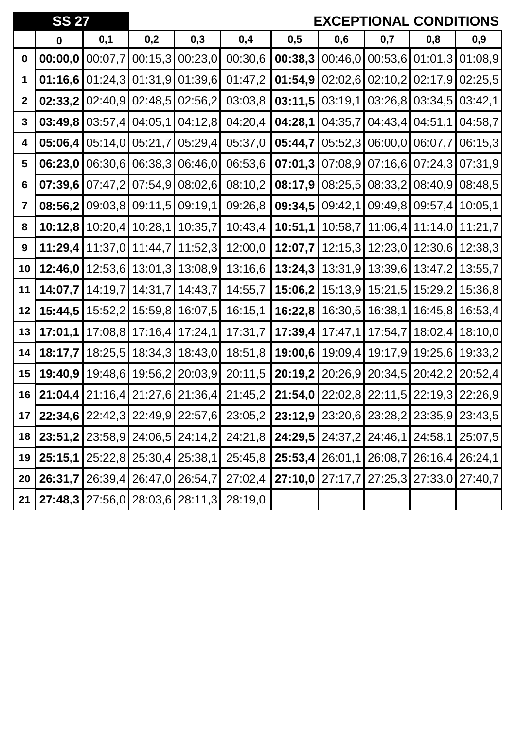|                         | <b>SS 27</b>                               |         |         |                                         |                                                                                        |                                         |         | <b>EXCEPTIONAL</b> |                                         | <b>CONDITIONS</b> |
|-------------------------|--------------------------------------------|---------|---------|-----------------------------------------|----------------------------------------------------------------------------------------|-----------------------------------------|---------|--------------------|-----------------------------------------|-------------------|
|                         | $\mathbf 0$                                | 0,1     | 0,2     | 0,3                                     | 0,4                                                                                    | 0,5                                     | 0,6     | 0,7                | 0,8                                     | 0,9               |
| $\boldsymbol{0}$        | 00:00,0                                    | 00:07,7 | 00:15,3 | 00:23,0                                 | 00:30,6                                                                                | 00:38,3                                 | 00:46,0 | 00:53,6            | 01:01,3                                 | 01:08,9           |
| 1                       | 01:16,6                                    | 01:24,3 | 01:31,9 | 01:39,6                                 | 01:47,2                                                                                | 01:54,9                                 | 02:02,6 | 02:10,2            | 02:17,9                                 | 02:25,5           |
| $\boldsymbol{2}$        | 02:33,2                                    | 02:40,9 | 02:48,5 | 02:56,2                                 | 03:03,8                                                                                | 03:11,5                                 | 03:19,1 |                    | 03:26,8 03:34,5                         | 03:42,1           |
| $\mathbf 3$             | 03:49,8                                    | 03:57,4 | 04:05,1 | 04:12,8                                 | 04:20,4                                                                                | 04:28,1                                 | 04:35,7 |                    | 04:43,4 04:51,1                         | 04:58,7           |
| 4                       | 05:06,4                                    | 05:14,0 | 05:21,7 | 05:29,4                                 | 05:37,0                                                                                | 05:44,7                                 | 05:52,3 |                    | 06:00,0 06:07,7                         | 06:15,3           |
| 5                       | 06:23,0                                    | 06:30,6 | 06:38,3 | 06:46,0                                 | 06:53,6                                                                                | 07:01,3                                 | 07:08,9 |                    | 07:16,6 07:24,3                         | 07:31,9           |
| 6                       | 07:39,6                                    | 07:47,2 | 07:54,9 | 08:02,6                                 | 08:10,2                                                                                | 08:17,9                                 | 08:25,5 | 08:33,2            | 08:40,9                                 | 08:48,5           |
| $\overline{\mathbf{7}}$ | 08:56,2                                    | 09:03,8 | 09:11,5 | 09:19,1                                 | 09:26,8                                                                                | 09:34,5                                 | 09:42,1 |                    | 09:49,8 09:57,4                         | 10:05,1           |
| 8                       | 10:12,8                                    | 10:20,4 | 10:28,1 | 10:35,7                                 | 10:43,4                                                                                | 10:51,1                                 | 10:58,7 |                    | 11:06,4 11:14,0                         | 11:21,7           |
| $\boldsymbol{9}$        | 11:29,4                                    | 11:37,0 | 11:44,7 | 11:52,3                                 | 12:00,0                                                                                | 12:07,7                                 | 12:15,3 |                    | 12:23,0 12:30,6                         | 12:38,3           |
| 10                      | 12:46,0                                    | 12:53,6 | 13:01,3 | 13:08,9                                 | 13:16,6                                                                                | 13:24,3                                 | 13:31,9 |                    | 13:39,6 13:47,2                         | 13:55,7           |
| 11                      | 14:07,7                                    | 14:19,7 | 14:31,7 | 14:43,7                                 | 14:55,7                                                                                | 15:06,2                                 | 15:13,9 | 15:21,5            | 15:29,2                                 | 15:36,8           |
| 12                      | 15:44,5                                    | 15:52,2 | 15:59,8 | 16:07,5                                 | 16:15,1                                                                                | 16:22,8                                 | 16:30,5 | 16:38,1            | 16:45,8                                 | 16:53,4           |
| 13                      | 17:01,1                                    | 17:08,8 | 17:16,4 | 17:24,1                                 | 17:31,7                                                                                | 17:39,4                                 | 17:47,1 | 17:54,7            | 18:02,4                                 | 18:10,0           |
| 14                      | 18:17,7                                    | 18:25,5 | 18:34,3 | 18:43,0                                 | 18:51,8                                                                                | 19:00,6                                 | 19:09,4 | 19:17,9            | 19:25,6                                 | 19:33,2           |
| 15                      | 19:40,9                                    | 19:48,6 | 19:56,2 | 20:03,9                                 | 20:11,5                                                                                | 20:19,2                                 | 20:26,9 | 20:34,5            | 20:42,2                                 | 20:52,4           |
| 16                      |                                            |         |         |                                         | <b>21:04,4 21:16,4 21:27,6 21:36,4 21:45,2 21:54,0 22:02,8 22:11,5 22:19,3 22:26,9</b> |                                         |         |                    |                                         |                   |
| 17                      |                                            |         |         |                                         | 22:34,6 22:42,3 22:49,9 22:57,6 23:05,2 23:12,9 23:20,6 23:28,2 23:35,9 23:43,5        |                                         |         |                    |                                         |                   |
| 18                      |                                            |         |         | <b>23:51,2 2</b> 3:58,9 24:06,5 24:14,2 | 24:21,8                                                                                | 24:29,5 24:37,2 24:46,1 24:58,1 25:07,5 |         |                    |                                         |                   |
| 19                      |                                            |         |         | 25:15,1 25:22,8 25:30,4 25:38,1         | 25:45,8                                                                                |                                         |         |                    | 25:53,4 26:01,1 26:08,7 26:16,4 26:24,1 |                   |
| 20                      |                                            |         |         | 26:31,7 26:39,4 26:47,0 26:54,7         | 27:02,4                                                                                |                                         |         |                    | 27:10,0 27:17,7 27:25,3 27:33,0 27:40,7 |                   |
|                         | 21   27:48,3   27:56,0   28:03,6   28:11,3 |         |         |                                         | 28:19,0                                                                                |                                         |         |                    |                                         |                   |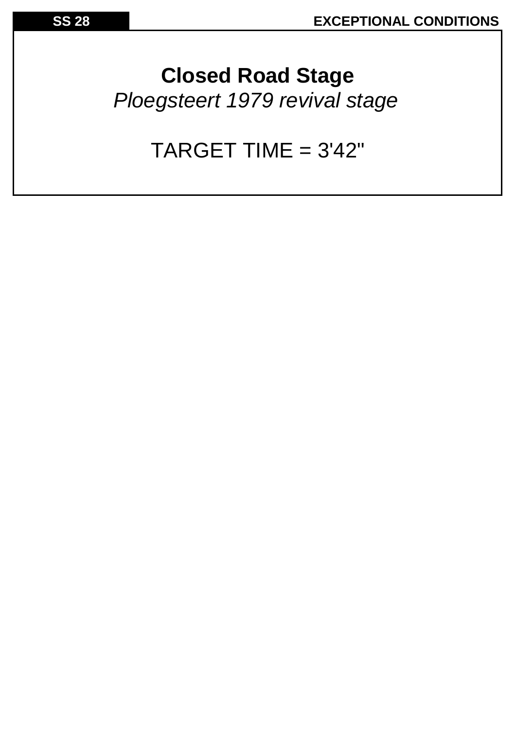**Closed Road Stage** *Ploegsteert 1979 revival stage*

TARGET TIME = 3'42"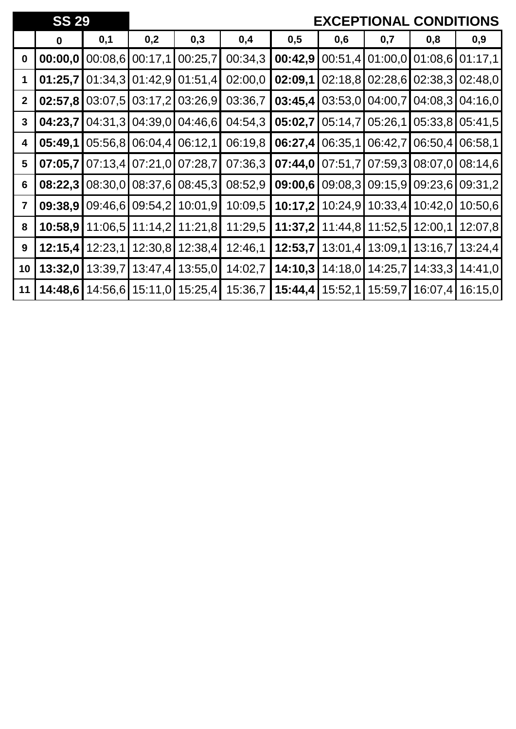|                         | <b>SS 29</b> |         |         |         |         |         |         |                 | <b>EXCEPTIONAL CONDITIONS</b> |         |
|-------------------------|--------------|---------|---------|---------|---------|---------|---------|-----------------|-------------------------------|---------|
|                         | $\mathbf 0$  | 0,1     | 0,2     | 0,3     | 0,4     | 0,5     | 0,6     | 0,7             | 0,8                           | 0,9     |
| $\mathbf 0$             | 00:00,0      | 00:08,6 | 00:17,1 | 00:25,7 | 00:34,3 | 00:42,9 | 00:51,4 | 01:00,0         | 01:08,6                       | 01:17,1 |
| 1                       | 01:25,7      | 01:34,3 | 01:42,9 | 01:51,4 | 02:00,0 | 02:09,1 | 02:18,8 | 02:28,6         | 02:38.3                       | 02:48,0 |
| $\mathbf{2}$            | 02:57,8      | 03:07,5 | 03:17,2 | 03:26,9 | 03:36,7 | 03:45,4 | 03:53,0 | 04:00,7         | 04:08,3                       | 04:16,0 |
| $\mathbf{3}$            | 04:23,7      | 04:31,3 | 04:39,0 | 04:46,6 | 04:54,3 | 05:02,7 | 05:14,7 | 05:26,1         | 05:33,8                       | 05:41,5 |
| 4                       | 05:49,1      | 05:56,8 | 06:04,4 | 06:12,1 | 06:19,8 | 06:27,4 | 06:35,1 | 06:42,7         | 06:50,4                       | 06:58,1 |
| $\overline{\mathbf{5}}$ | 07:05,7      | 07:13,4 | 07:21,0 | 07:28,7 | 07:36,3 | 07:44,0 | 07:51,7 | 07:59,3         | 08:07,0                       | 08:14,6 |
| $6\phantom{1}$          | 08:22,3      | 08:30,0 | 08:37,6 | 08:45,3 | 08:52,9 | 09:00,6 | 09:08,3 | 09:15,9         | 09:23.6                       | 09:31,2 |
| $\overline{7}$          | 09:38,9      | 09:46,6 | 09:54,2 | 10:01,9 | 10:09,5 | 10:17,2 | 10:24.9 | 10:33,4         | 10:42,0                       | 10:50,6 |
| 8                       | 10:58,9      | 11:06,5 | 11:14,2 | 11:21,8 | 11:29,5 | 11:37,2 |         | 11:44,8 11:52,5 | 12:00,1                       | 12:07,8 |
| 9                       | 12:15,4      | 12:23,1 | 12:30,8 | 12:38,4 | 12:46,1 | 12:53,7 | 13:01,4 | 13:09,1         | 13:16,7                       | 13:24,4 |
| 10                      | 13:32,0      | 13:39,7 | 13:47,4 | 13:55,0 | 14:02,7 | 14:10,3 | 14:18,0 | 14:25,7         | 14:33.3                       | 14:41,0 |
| 11                      | 14:48,6      | 14:56,6 | 15:11,0 | 15:25,4 | 15:36,7 | 15:44,4 | 15:52,1 | 15:59,7         | 16:07,4                       | 16:15,0 |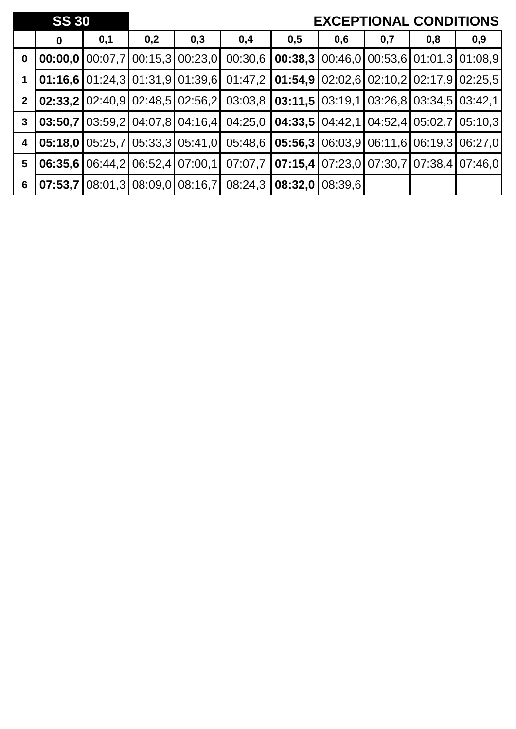|                         | <b>SS 30</b> |     |     |                                         |                                                                                                                                                                             |                             |     |     | <b>EXCEPTIONAL CONDITIONS</b>                  |     |
|-------------------------|--------------|-----|-----|-----------------------------------------|-----------------------------------------------------------------------------------------------------------------------------------------------------------------------------|-----------------------------|-----|-----|------------------------------------------------|-----|
|                         | 0            | 0,1 | 0,2 | 0,3                                     | 0,4<br>0,5                                                                                                                                                                  |                             | 0,6 | 0,7 | 0,8                                            | 0,9 |
| $\mathbf 0$             |              |     |     | $00:00,0$   00:07,7   00:15,3   00:23,0 | 00:30,6                                                                                                                                                                     |                             |     |     | <b>00:38,3</b> 00:46,0 00:53,6 01:01,3 01:08,9 |     |
|                         |              |     |     |                                         | <b>01:16,6</b> 01:24,3 01:31,9 01:39,6 01:47,2 <b>01:54,9</b> 02:02,6 02:10,2 02:17,9 02:25,5                                                                               |                             |     |     |                                                |     |
| 2 <sup>1</sup>          |              |     |     |                                         | 02:33,2 02:40,9 02:48,5 02:56,2 03:03,8 03:11,5 03:19,1 03:26,8 03:34,5 03:42,1                                                                                             |                             |     |     |                                                |     |
| $\mathbf{3}$            |              |     |     |                                         | <b>03:50,7</b> $\left  03:59,2 \right  04:07,8$ $\left  04:16,4 \right  04:25,0$ $\left  04:33,5 \right  04:42,1$ $\left  04:52,4 \right  05:02,7$ $\left  05:10,3 \right $ |                             |     |     |                                                |     |
| $\overline{\mathbf{4}}$ |              |     |     |                                         | <b>05:18,0</b> $\left  05:25.7 \right  05:33.3 \left  05:41.0 \right  05:48.6$ <b>05:56,3</b> $\left  06:03.9 \right  06:11.6$ $\left  06:19.3 \right  06:27.0$             |                             |     |     |                                                |     |
| 5                       | 06:35.6      |     |     |                                         | $06:44,2$ $06:52,4$ $07:00,1$ $07:07,7$ $07:15,4$ $07:23,0$ $07:30,7$ $07:38,4$ $07:46,0$                                                                                   |                             |     |     |                                                |     |
| $6\phantom{1}6$         |              |     |     | $07:53,7$ 08:01,3 08:09,0 08:16,7       |                                                                                                                                                                             | 08:24,3   08:32,0   08:39,6 |     |     |                                                |     |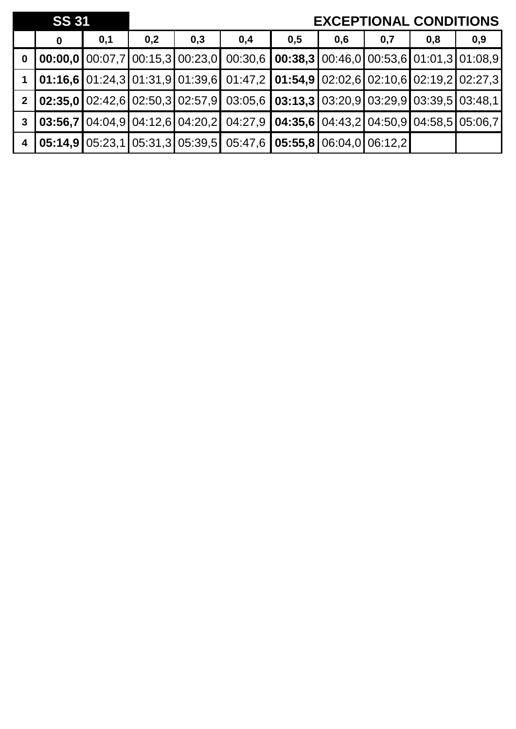|                | <b>SS 31</b> |     |     |     |                                                                                                                                                                 |     |     | <b>EXCEPTIONAL CONDITIONS</b> |     |     |
|----------------|--------------|-----|-----|-----|-----------------------------------------------------------------------------------------------------------------------------------------------------------------|-----|-----|-------------------------------|-----|-----|
|                | $\mathbf 0$  | 0,1 | 0,2 | 0,3 | 0,4                                                                                                                                                             | 0,5 | 0,6 | 0,7                           | 0,8 | 0,9 |
| $\mathbf 0$    |              |     |     |     | <b>00:00,0</b> 00:07,7 00:15,3 00:23,0 00:30,6 <b>00:38,3</b> 00:46,0 00:53,6 01:01,3 01:08,9                                                                   |     |     |                               |     |     |
|                |              |     |     |     | 01:16,6 01:24,3 01:31,9 01:39,6 01:47,2 01:54,9 02:02,6 02:10,6 02:19,2 02:27,3                                                                                 |     |     |                               |     |     |
| $2^{\circ}$    |              |     |     |     | $\vert$ 02:35,0 $\vert$ 02:42,6 $\vert$ 02:50,3 $\vert$ 02:57,9 $\vert$ 03:05,6 $\vert$ 03:13,3 $\vert$ 03:20,9 $\vert$ 03:29,9 $\vert$ 03:39,5 $\vert$ 03:48,1 |     |     |                               |     |     |
| $\mathbf{3}$   |              |     |     |     | $\vert$ 03:56,7 $\vert$ 04:04,9 $\vert$ 04:12,6 $\vert$ 04:20,2 $\vert$ 04:27,9 $\vert$ 04:35,6 $\vert$ 04:43,2 $\vert$ 04:50,9 $\vert$ 04:58,5 $\vert$ 05:06,7 |     |     |                               |     |     |
| 4 <sup>2</sup> |              |     |     |     | $\vert$ 05:14,9 $\vert$ 05:23,1 $\vert$ 05:31,3 $\vert$ 05:39,5 $\vert$ 05:47,6 $\vert$ 05:55,8 $\vert$ 06:04,0 $\vert$ 06:12,2 $\vert$                         |     |     |                               |     |     |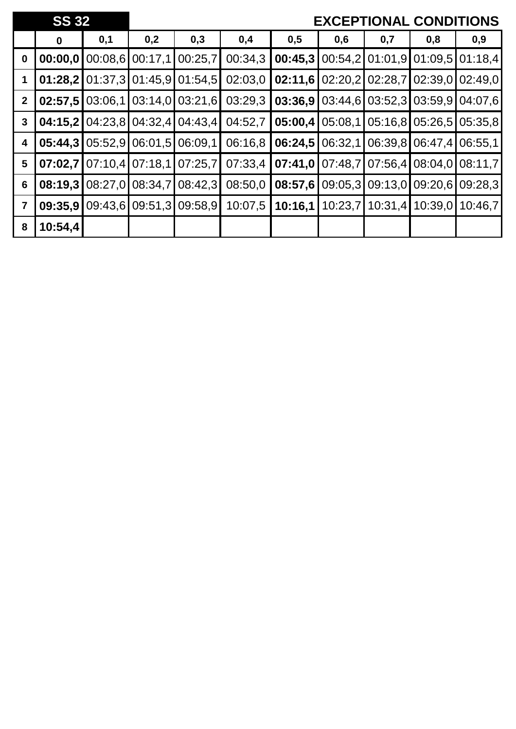|                         | <b>SS 32</b> |         |                         |                           |         |         |         |     | <b>EXCEPTIONAL CONDITIONS</b>           |         |
|-------------------------|--------------|---------|-------------------------|---------------------------|---------|---------|---------|-----|-----------------------------------------|---------|
|                         | $\bf{0}$     | 0,1     | 0,2                     | 0,3                       | 0,4     | 0,5     | 0,6     | 0,7 | 0,8                                     | 0,9     |
| $\bf{0}$                | 00:00,0      | 00:08,6 |                         | 00:17,1 00:25,7           | 00:34,3 | 00:45,3 |         |     | 00:54,2 01:01,9 01:09,5                 | 01:18,4 |
|                         | 01:28,2      |         |                         | $01:37,3$ 01:45,9 01:54,5 | 02:03,0 | 02:11,6 |         |     | $02:20,2$ 02:28,7 02:39,0 02:49,0       |         |
| $\mathbf{2}$            | 02:57,5      | 03:06,1 |                         | $03:14,0$ 03:21,6         | 03:29,3 | 03:36,9 |         |     | $03:44,6$ $03:52,3$ $03:59,9$ $04:07,6$ |         |
| $\mathbf{3}$            | 04:15,2      |         |                         | $04:23,8$ 04:32,4 04:43,4 | 04:52,7 | 05:00,4 |         |     | 05:08,1 05:16,8 05:26,5 05:35,8         |         |
| 4                       | 05:44,3      |         | 05:52,9 06:01,5 06:09,1 |                           | 06:16,8 | 06:24,5 | 06:32,1 |     | 06:39.8 06:47.4 06:55.1                 |         |
| 5                       | 07:02,7      |         | $07:10,4$ 07:18,1       | 07:25,7                   | 07:33,4 | 07:41,0 |         |     | 07:48.7 07:56.4 08:04.0                 | 08:11,7 |
| 6                       | 08:19,3      |         | 08:27,0 08:34,7         | 08:42,3                   | 08:50,0 | 08:57,6 |         |     | 09:05,3 09:13,0 09:20,6 09:28,3         |         |
| $\overline{\mathbf{7}}$ | 09:35,9      |         |                         | 09:43,6 09:51,3 09:58,9   | 10:07,5 | 10:16,1 |         |     | 10:23,7 10:31,4 10:39,0 10:46,7         |         |
| 8                       | 10:54,4      |         |                         |                           |         |         |         |     |                                         |         |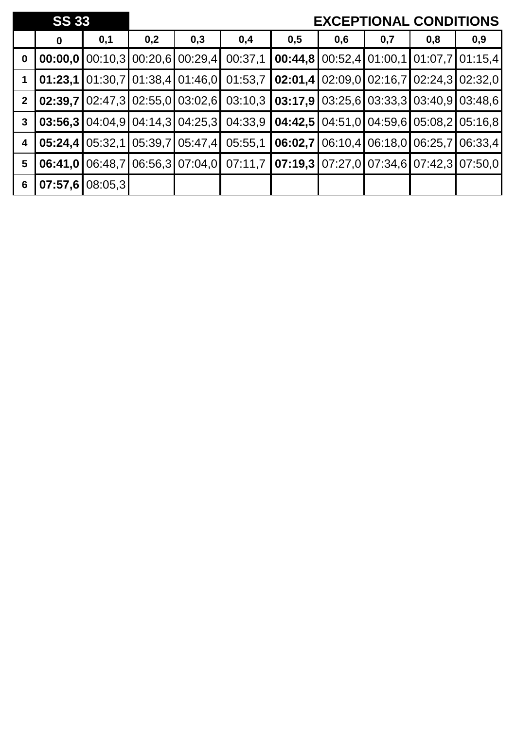|                | <b>SS 33</b> |         |     |                                         |         |                                                             |     |     | <b>EXCEPTIONAL CONDITIONS</b>                          |         |
|----------------|--------------|---------|-----|-----------------------------------------|---------|-------------------------------------------------------------|-----|-----|--------------------------------------------------------|---------|
|                | $\bf{0}$     | 0,1     | 0,2 | 0,3                                     | 0,4     | 0,5                                                         | 0,6 | 0,7 | 0,8                                                    | 0,9     |
| $\mathbf 0$    |              |         |     | 00:00,000:10,300:20,600:29,4            | 00:37,1 |                                                             |     |     | $00:44,8100:52,4101:00,1101:07,7101:15,4$              |         |
|                | 01:23,1      |         |     | $01:30.7$ 01:38.4 01:46.0               | 01:53,7 |                                                             |     |     | <b>02:01,4</b>   02:09,0   02:16,7   02:24,3   02:32,0 |         |
| $\overline{2}$ |              |         |     | $02:39.7$   02:47,3   02:55,0   03:02,6 |         | $03:10,3$   03:17,9   03:25,6   03:33,3   03:40,9   03:48,6 |     |     |                                                        |         |
| $\mathbf{3}$   |              |         |     | $03:56,3$   04:04,9   04:14,3   04:25,3 |         | 04:33,9   04:42,5   04:51,0   04:59,6   05:08,2   05:16,8   |     |     |                                                        |         |
| 4              | 05:24.4      |         |     | 05:32,1 05:39,7 05:47,4                 | 05:55,1 |                                                             |     |     | 06:02,7 06:10,4 06:18,0 06:25,7                        | 06:33,4 |
| $5\phantom{1}$ | 06:41.0      | 06:48,7 |     | 06:56,3 07:04,0                         |         | $07:11,7$   07:19,3   07:27,0   07:34,6   07:42,3   07:50,0 |     |     |                                                        |         |
| 6              | 07:57,6      | 08:05,3 |     |                                         |         |                                                             |     |     |                                                        |         |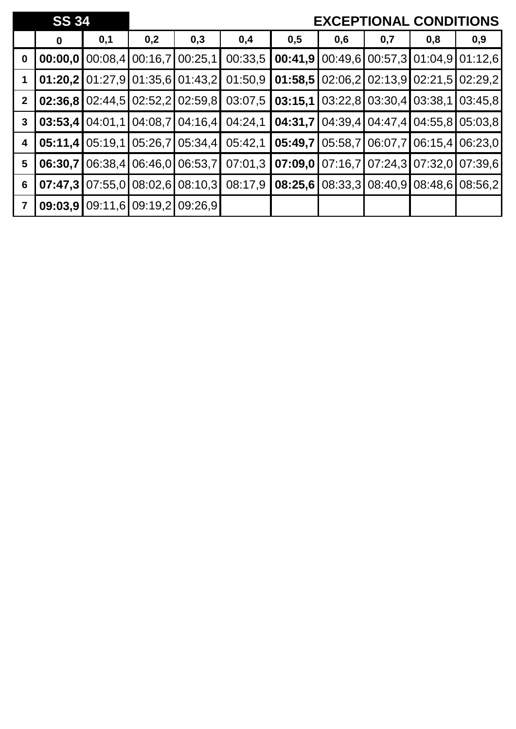|                | <b>SS 34</b> |     |     |                                          |         |         |     |     | <b>EXCEPTIONAL CONDITIONS</b>                                   |     |
|----------------|--------------|-----|-----|------------------------------------------|---------|---------|-----|-----|-----------------------------------------------------------------|-----|
|                | $\bf{0}$     | 0,1 | 0,2 | 0,3                                      | 0,4     | 0,5     | 0,6 | 0,7 | 0,8                                                             | 0,9 |
| $\mathbf 0$    | 00:00,01     |     |     | $[00:08,4]$ 00:16,7 $[00:25,1]$          | 00:33,5 | 00:41,9 |     |     | $[00:49,6]$ $00:57,3]$ 01:04,9 01:12,6                          |     |
|                |              |     |     | $01:20,2$   01:27,9   01:35,6   01:43,2  | 01:50,9 | 01:58.5 |     |     | $02:06,2$ 02:13,9 02:21,5 02:29,2                               |     |
| $\mathbf{2}$   |              |     |     | <b>02:36,8 02:44,5 02:52,2 02:59,8  </b> | 03:07,5 | 03:15,1 |     |     | $\vert 03:22,8 \vert 03:30,4 \vert 03:38,1 \vert 03:45,8 \vert$ |     |
| $\mathbf{3}$   | 03:53.4      |     |     | $04:01,1$   04:08,7   04:16,4            | 04:24,1 | 04:31,7 |     |     | 04:39,4 04:47,4 04:55,8 05:03,8                                 |     |
| 4              | 05:11,4      |     |     | $05:19.1$ 05:26.7 05:34.4                | 05:42,1 | 05:49,7 |     |     | 05:58,7 06:07,7 06:15,4 06:23,0                                 |     |
| 5              | 06:30,7      |     |     | 06:38,4 06:46,0 06:53,7                  | 07:01,3 |         |     |     | $07:09.0$   07:16,7   07:24,3   07:32,0   07:39,6               |     |
| 6              | 07:47,3      |     |     | [07:55, 0] 08:02, 6] 08:10, 3]           | 08:17,9 | 08:25,6 |     |     | 08:33,3 08:40,9 08:48,6 08:56,2                                 |     |
| $\overline{7}$ | 09:03,9      |     |     | 09:11,6 09:19,2 09:26,9                  |         |         |     |     |                                                                 |     |